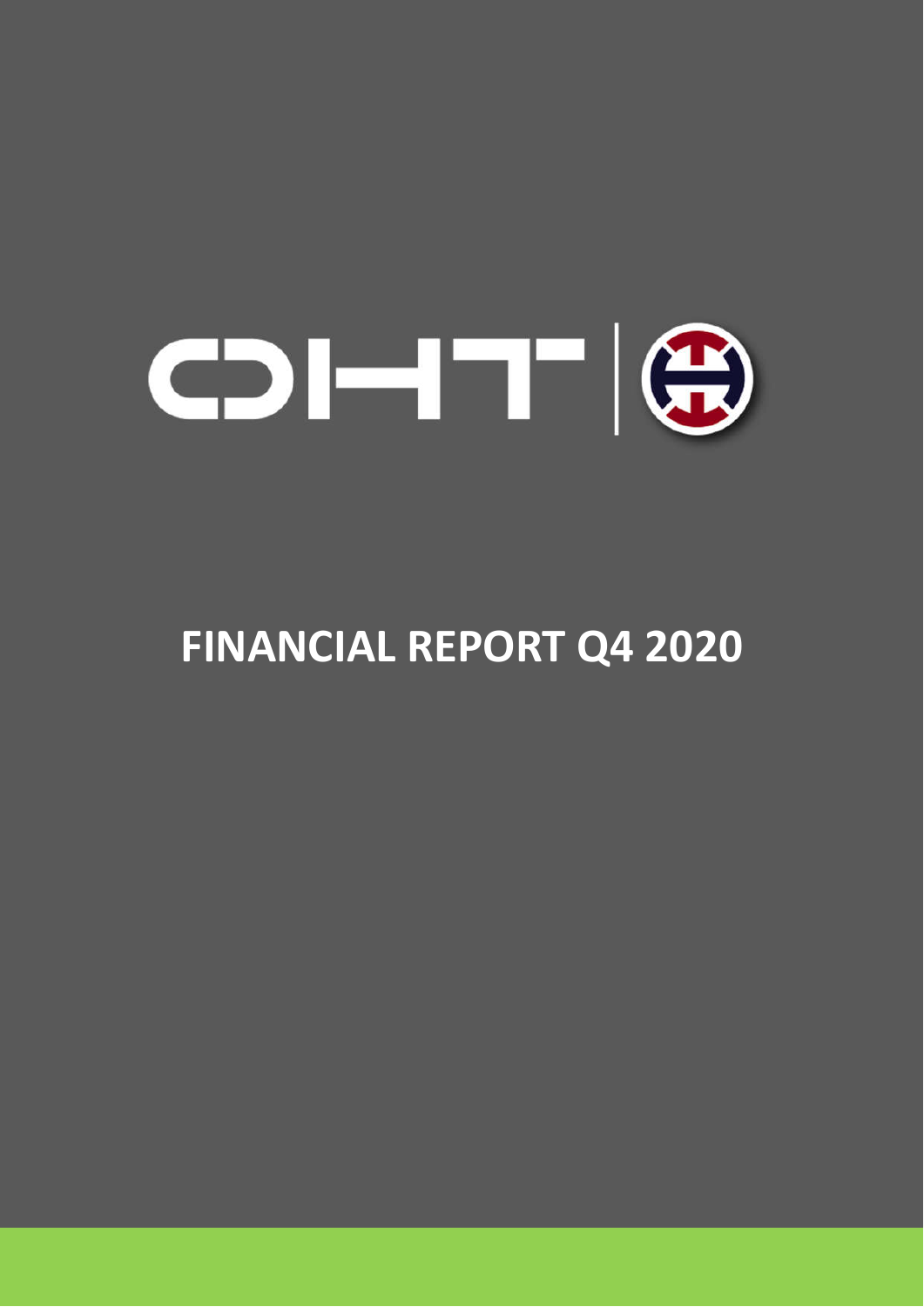

# **FINANCIAL REPORT Q4 2020**

1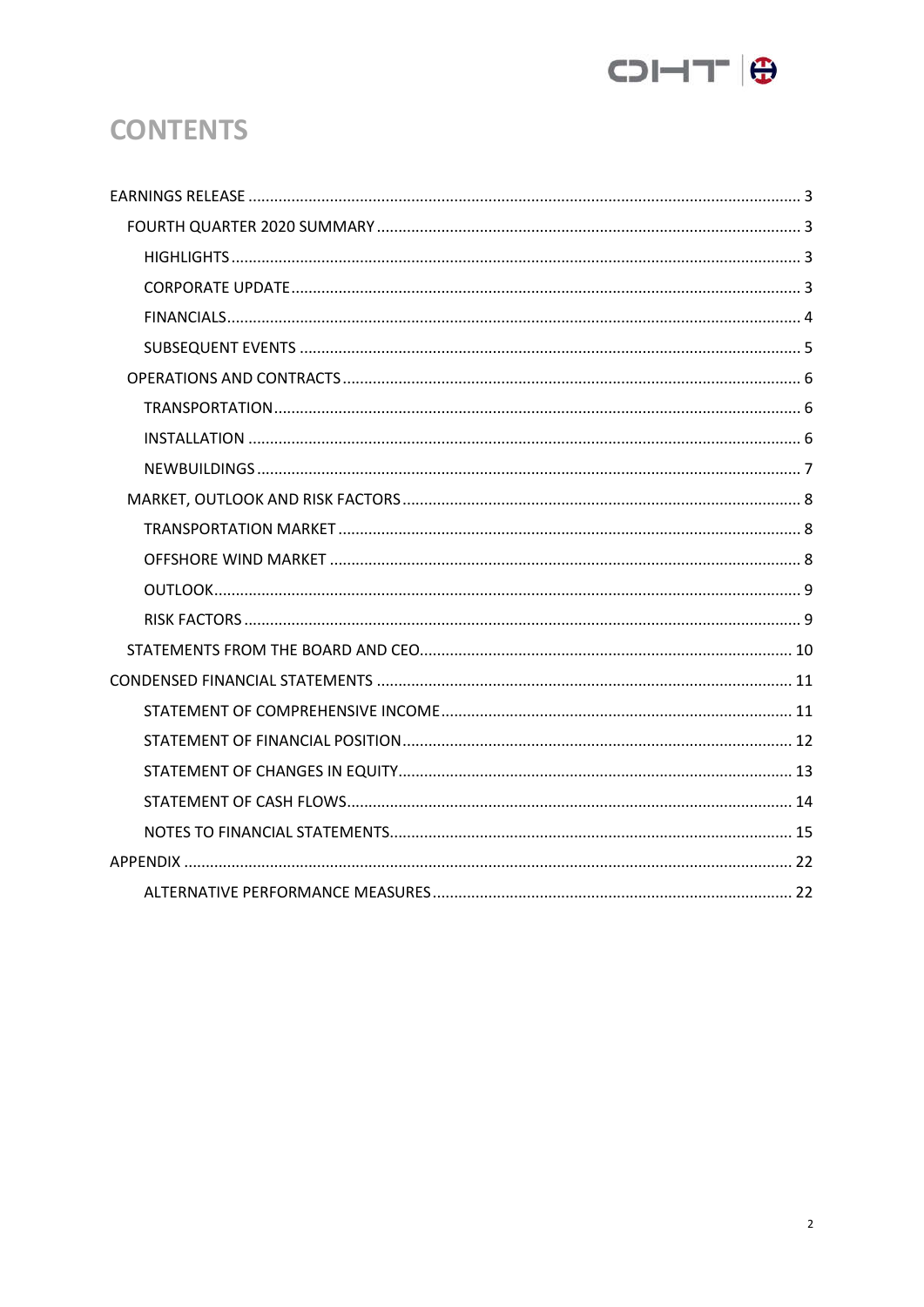

# **CONTENTS**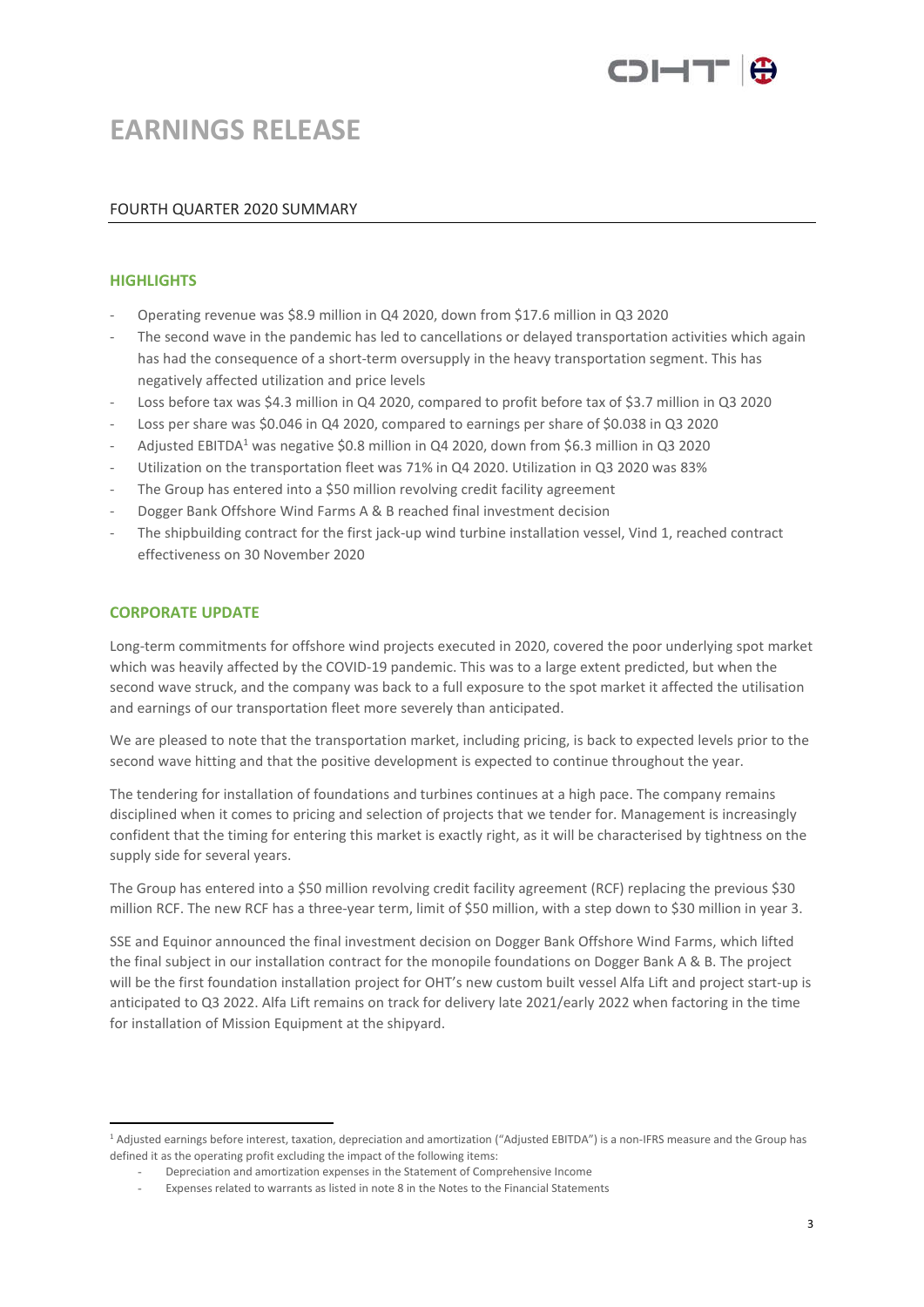

# **EARNINGS RELEASE**

### FOURTH QUARTER 2020 SUMMARY

#### **HIGHLIGHTS**

- Operating revenue was \$8.9 million in Q4 2020, down from \$17.6 million in Q3 2020
- The second wave in the pandemic has led to cancellations or delayed transportation activities which again has had the consequence of a short-term oversupply in the heavy transportation segment. This has negatively affected utilization and price levels
- Loss before tax was \$4.3 million in Q4 2020, compared to profit before tax of \$3.7 million in Q3 2020
- Loss per share was \$0.046 in Q4 2020, compared to earnings per share of \$0.038 in Q3 2020
- Adjusted EBITDA<sup>1</sup> was negative \$0.8 million in Q4 2020, down from \$6.3 million in Q3 2020
- Utilization on the transportation fleet was 71% in Q4 2020. Utilization in Q3 2020 was 83%
- The Group has entered into a \$50 million revolving credit facility agreement
- Dogger Bank Offshore Wind Farms A & B reached final investment decision
- The shipbuilding contract for the first jack-up wind turbine installation vessel, Vind 1, reached contract effectiveness on 30 November 2020

#### **CORPORATE UPDATE**

Long-term commitments for offshore wind projects executed in 2020, covered the poor underlying spot market which was heavily affected by the COVID-19 pandemic. This was to a large extent predicted, but when the second wave struck, and the company was back to a full exposure to the spot market it affected the utilisation and earnings of our transportation fleet more severely than anticipated.

We are pleased to note that the transportation market, including pricing, is back to expected levels prior to the second wave hitting and that the positive development is expected to continue throughout the year.

The tendering for installation of foundations and turbines continues at a high pace. The company remains disciplined when it comes to pricing and selection of projects that we tender for. Management is increasingly confident that the timing for entering this market is exactly right, as it will be characterised by tightness on the supply side for several years.

The Group has entered into a \$50 million revolving credit facility agreement (RCF) replacing the previous \$30 million RCF. The new RCF has a three-year term, limit of \$50 million, with a step down to \$30 million in year 3.

SSE and Equinor announced the final investment decision on Dogger Bank Offshore Wind Farms, which lifted the final subject in our installation contract for the monopile foundations on Dogger Bank A & B. The project will be the first foundation installation project for OHT's new custom built vessel Alfa Lift and project start-up is anticipated to Q3 2022. Alfa Lift remains on track for delivery late 2021/early 2022 when factoring in the time for installation of Mission Equipment at the shipyard.

<sup>1</sup> Adjusted earnings before interest, taxation, depreciation and amortization ("Adjusted EBITDA") is a non-IFRS measure and the Group has defined it as the operating profit excluding the impact of the following items:

<sup>-</sup> Depreciation and amortization expenses in the Statement of Comprehensive Income

<sup>-</sup> Expenses related to warrants as listed in note 8 in the Notes to the Financial Statements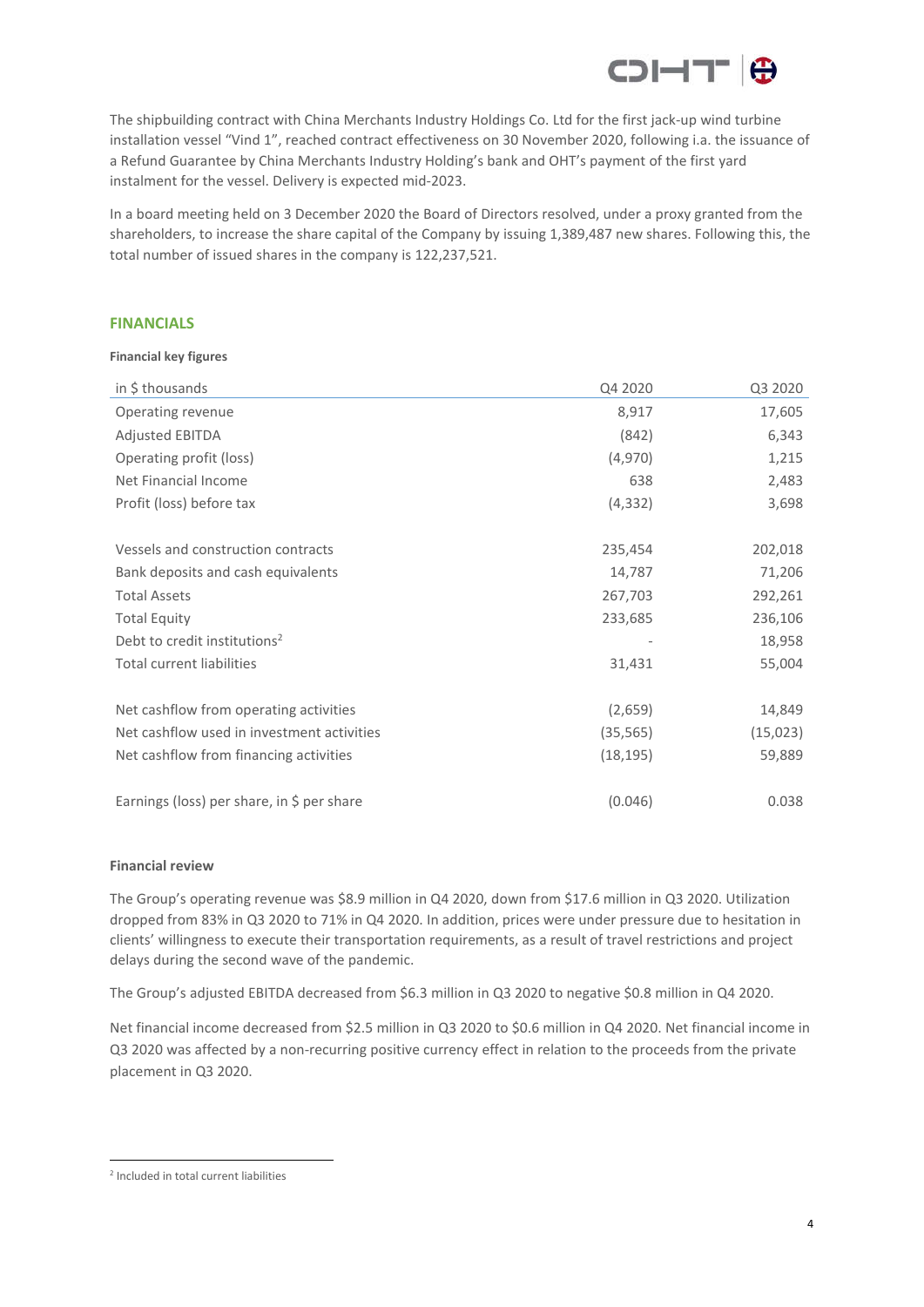

The shipbuilding contract with China Merchants Industry Holdings Co. Ltd for the first jack-up wind turbine installation vessel "Vind 1", reached contract effectiveness on 30 November 2020, following i.a. the issuance of a Refund Guarantee by China Merchants Industry Holding's bank and OHT's payment of the first yard instalment for the vessel. Delivery is expected mid-2023.

In a board meeting held on 3 December 2020 the Board of Directors resolved, under a proxy granted from the shareholders, to increase the share capital of the Company by issuing 1,389,487 new shares. Following this, the total number of issued shares in the company is 122,237,521.

#### **FINANCIALS**

#### **Financial key figures**

| in \$ thousands                            | Q4 2020   | Q3 2020   |
|--------------------------------------------|-----------|-----------|
| Operating revenue                          | 8,917     | 17,605    |
| Adjusted EBITDA                            | (842)     | 6,343     |
| Operating profit (loss)                    | (4,970)   | 1,215     |
| Net Financial Income                       | 638       | 2,483     |
| Profit (loss) before tax                   | (4, 332)  | 3,698     |
|                                            |           |           |
| Vessels and construction contracts         | 235,454   | 202,018   |
| Bank deposits and cash equivalents         | 14,787    | 71,206    |
| <b>Total Assets</b>                        | 267,703   | 292,261   |
| <b>Total Equity</b>                        | 233,685   | 236,106   |
| Debt to credit institutions <sup>2</sup>   |           | 18,958    |
| <b>Total current liabilities</b>           | 31,431    | 55,004    |
| Net cashflow from operating activities     | (2,659)   | 14,849    |
| Net cashflow used in investment activities | (35, 565) | (15, 023) |
| Net cashflow from financing activities     | (18, 195) | 59,889    |
| Earnings (loss) per share, in \$ per share | (0.046)   | 0.038     |

#### **Financial review**

The Group's operating revenue was \$8.9 million in Q4 2020, down from \$17.6 million in Q3 2020. Utilization dropped from 83% in Q3 2020 to 71% in Q4 2020. In addition, prices were under pressure due to hesitation in clients' willingness to execute their transportation requirements, as a result of travel restrictions and project delays during the second wave of the pandemic.

The Group's adjusted EBITDA decreased from \$6.3 million in Q3 2020 to negative \$0.8 million in Q4 2020.

Net financial income decreased from \$2.5 million in Q3 2020 to \$0.6 million in Q4 2020. Net financial income in Q3 2020 was affected by a non-recurring positive currency effect in relation to the proceeds from the private placement in Q3 2020.

<sup>2</sup> Included in total current liabilities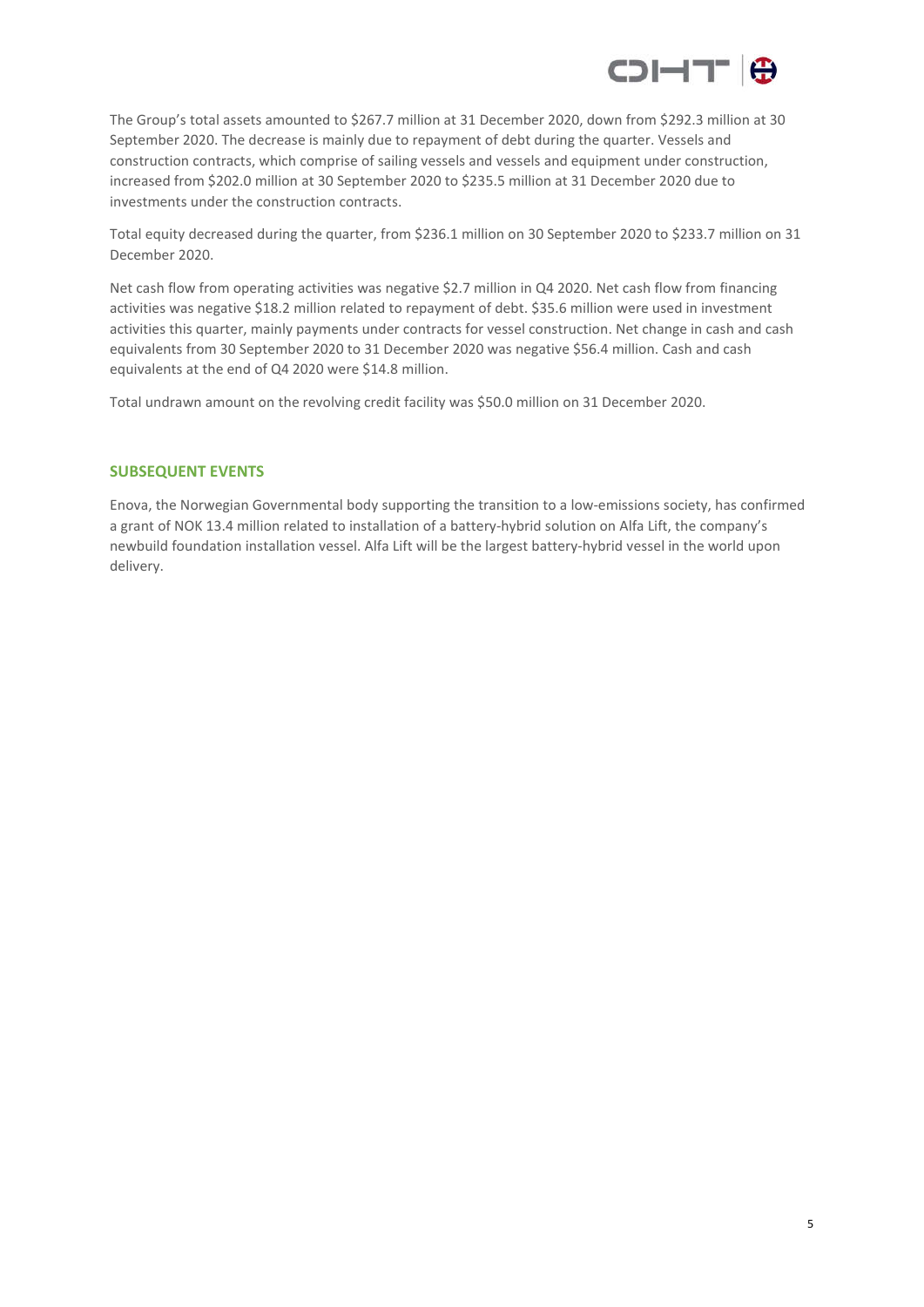

The Group's total assets amounted to \$267.7 million at 31 December 2020, down from \$292.3 million at 30 September 2020. The decrease is mainly due to repayment of debt during the quarter. Vessels and construction contracts, which comprise of sailing vessels and vessels and equipment under construction, increased from \$202.0 million at 30 September 2020 to \$235.5 million at 31 December 2020 due to investments under the construction contracts.

Total equity decreased during the quarter, from \$236.1 million on 30 September 2020 to \$233.7 million on 31 December 2020.

Net cash flow from operating activities was negative \$2.7 million in Q4 2020. Net cash flow from financing activities was negative \$18.2 million related to repayment of debt. \$35.6 million were used in investment activities this quarter, mainly payments under contracts for vessel construction. Net change in cash and cash equivalents from 30 September 2020 to 31 December 2020 was negative \$56.4 million. Cash and cash equivalents at the end of Q4 2020 were \$14.8 million.

Total undrawn amount on the revolving credit facility was \$50.0 million on 31 December 2020.

### **SUBSEQUENT EVENTS**

Enova, the Norwegian Governmental body supporting the transition to a low-emissions society, has confirmed a grant of NOK 13.4 million related to installation of a battery-hybrid solution on Alfa Lift, the company's newbuild foundation installation vessel. Alfa Lift will be the largest battery-hybrid vessel in the world upon delivery.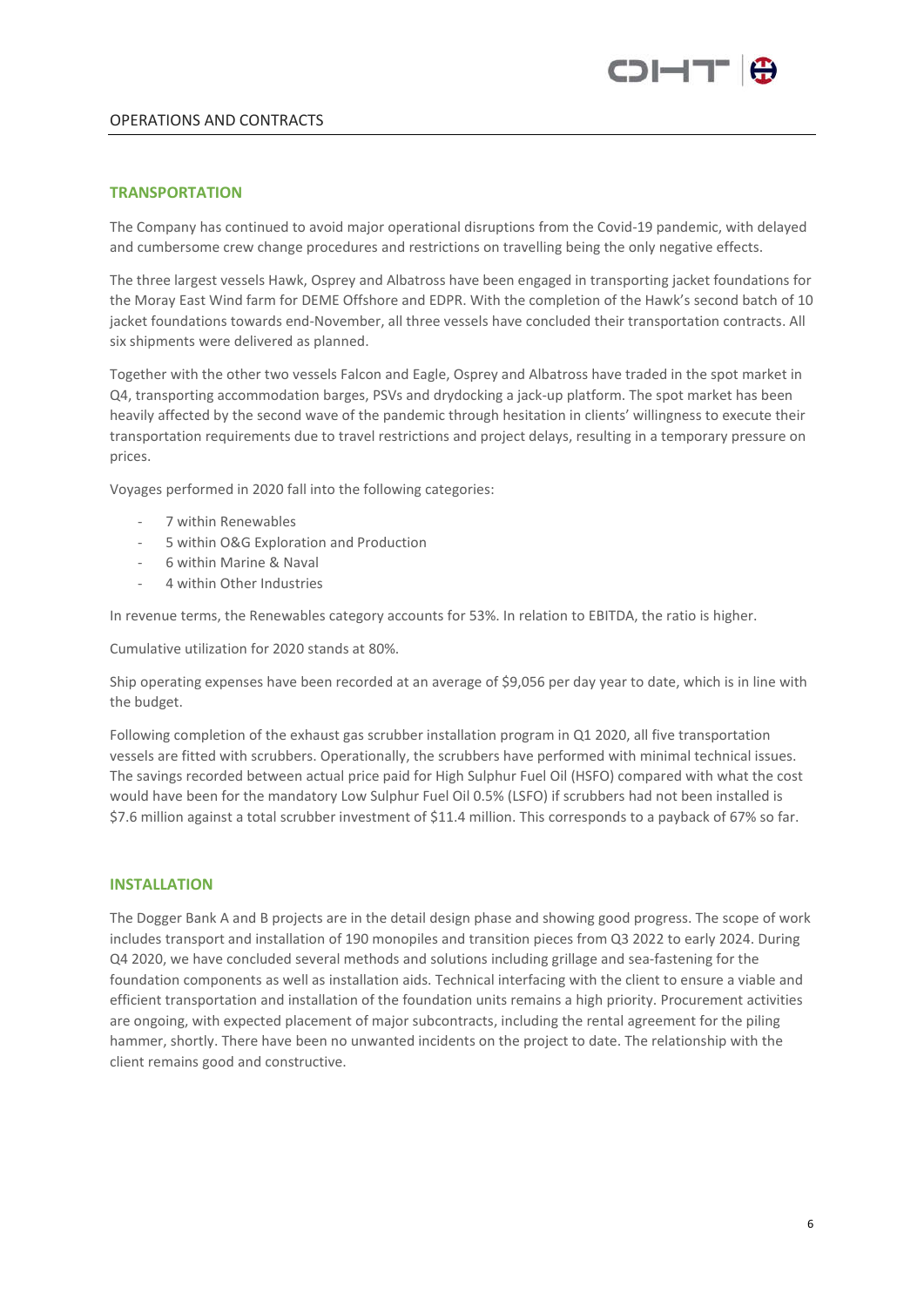

### OPERATIONS AND CONTRACTS

#### **TRANSPORTATION**

The Company has continued to avoid major operational disruptions from the Covid-19 pandemic, with delayed and cumbersome crew change procedures and restrictions on travelling being the only negative effects.

The three largest vessels Hawk, Osprey and Albatross have been engaged in transporting jacket foundations for the Moray East Wind farm for DEME Offshore and EDPR. With the completion of the Hawk's second batch of 10 jacket foundations towards end-November, all three vessels have concluded their transportation contracts. All six shipments were delivered as planned.

Together with the other two vessels Falcon and Eagle, Osprey and Albatross have traded in the spot market in Q4, transporting accommodation barges, PSVs and drydocking a jack-up platform. The spot market has been heavily affected by the second wave of the pandemic through hesitation in clients' willingness to execute their transportation requirements due to travel restrictions and project delays, resulting in a temporary pressure on prices.

Voyages performed in 2020 fall into the following categories:

- 7 within Renewables
- 5 within O&G Exploration and Production
- 6 within Marine & Naval
- 4 within Other Industries

In revenue terms, the Renewables category accounts for 53%. In relation to EBITDA, the ratio is higher.

Cumulative utilization for 2020 stands at 80%.

Ship operating expenses have been recorded at an average of \$9,056 per day year to date, which is in line with the budget.

Following completion of the exhaust gas scrubber installation program in Q1 2020, all five transportation vessels are fitted with scrubbers. Operationally, the scrubbers have performed with minimal technical issues. The savings recorded between actual price paid for High Sulphur Fuel Oil (HSFO) compared with what the cost would have been for the mandatory Low Sulphur Fuel Oil 0.5% (LSFO) if scrubbers had not been installed is \$7.6 million against a total scrubber investment of \$11.4 million. This corresponds to a payback of 67% so far.

#### **INSTALLATION**

The Dogger Bank A and B projects are in the detail design phase and showing good progress. The scope of work includes transport and installation of 190 monopiles and transition pieces from Q3 2022 to early 2024. During Q4 2020, we have concluded several methods and solutions including grillage and sea-fastening for the foundation components as well as installation aids. Technical interfacing with the client to ensure a viable and efficient transportation and installation of the foundation units remains a high priority. Procurement activities are ongoing, with expected placement of major subcontracts, including the rental agreement for the piling hammer, shortly. There have been no unwanted incidents on the project to date. The relationship with the client remains good and constructive.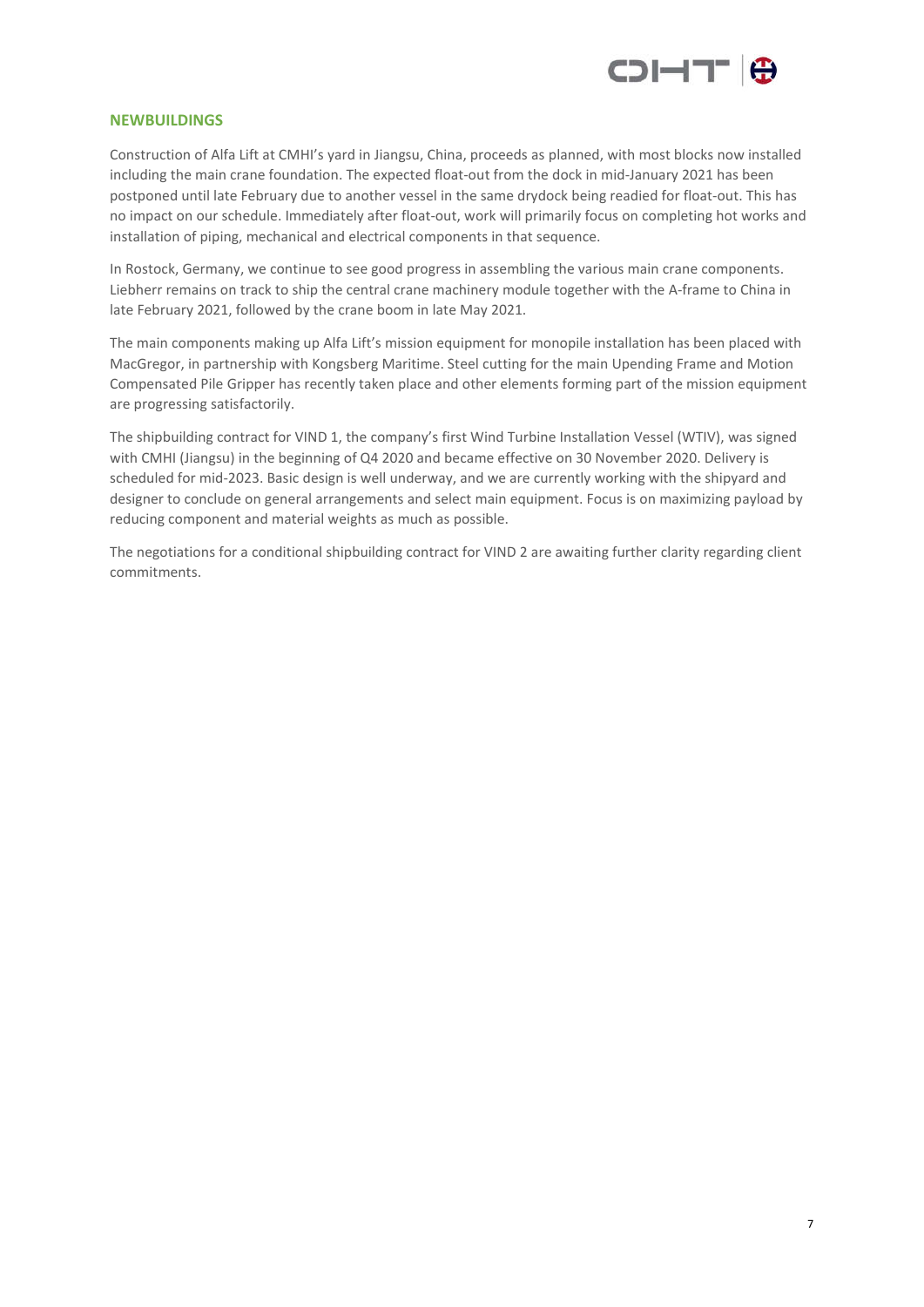

#### **NEWBUILDINGS**

Construction of Alfa Lift at CMHI's yard in Jiangsu, China, proceeds as planned, with most blocks now installed including the main crane foundation. The expected float-out from the dock in mid-January 2021 has been postponed until late February due to another vessel in the same drydock being readied for float-out. This has no impact on our schedule. Immediately after float-out, work will primarily focus on completing hot works and installation of piping, mechanical and electrical components in that sequence.

In Rostock, Germany, we continue to see good progress in assembling the various main crane components. Liebherr remains on track to ship the central crane machinery module together with the A-frame to China in late February 2021, followed by the crane boom in late May 2021.

The main components making up Alfa Lift's mission equipment for monopile installation has been placed with MacGregor, in partnership with Kongsberg Maritime. Steel cutting for the main Upending Frame and Motion Compensated Pile Gripper has recently taken place and other elements forming part of the mission equipment are progressing satisfactorily.

The shipbuilding contract for VIND 1, the company's first Wind Turbine Installation Vessel (WTIV), was signed with CMHI (Jiangsu) in the beginning of Q4 2020 and became effective on 30 November 2020. Delivery is scheduled for mid-2023. Basic design is well underway, and we are currently working with the shipyard and designer to conclude on general arrangements and select main equipment. Focus is on maximizing payload by reducing component and material weights as much as possible.

The negotiations for a conditional shipbuilding contract for VIND 2 are awaiting further clarity regarding client commitments.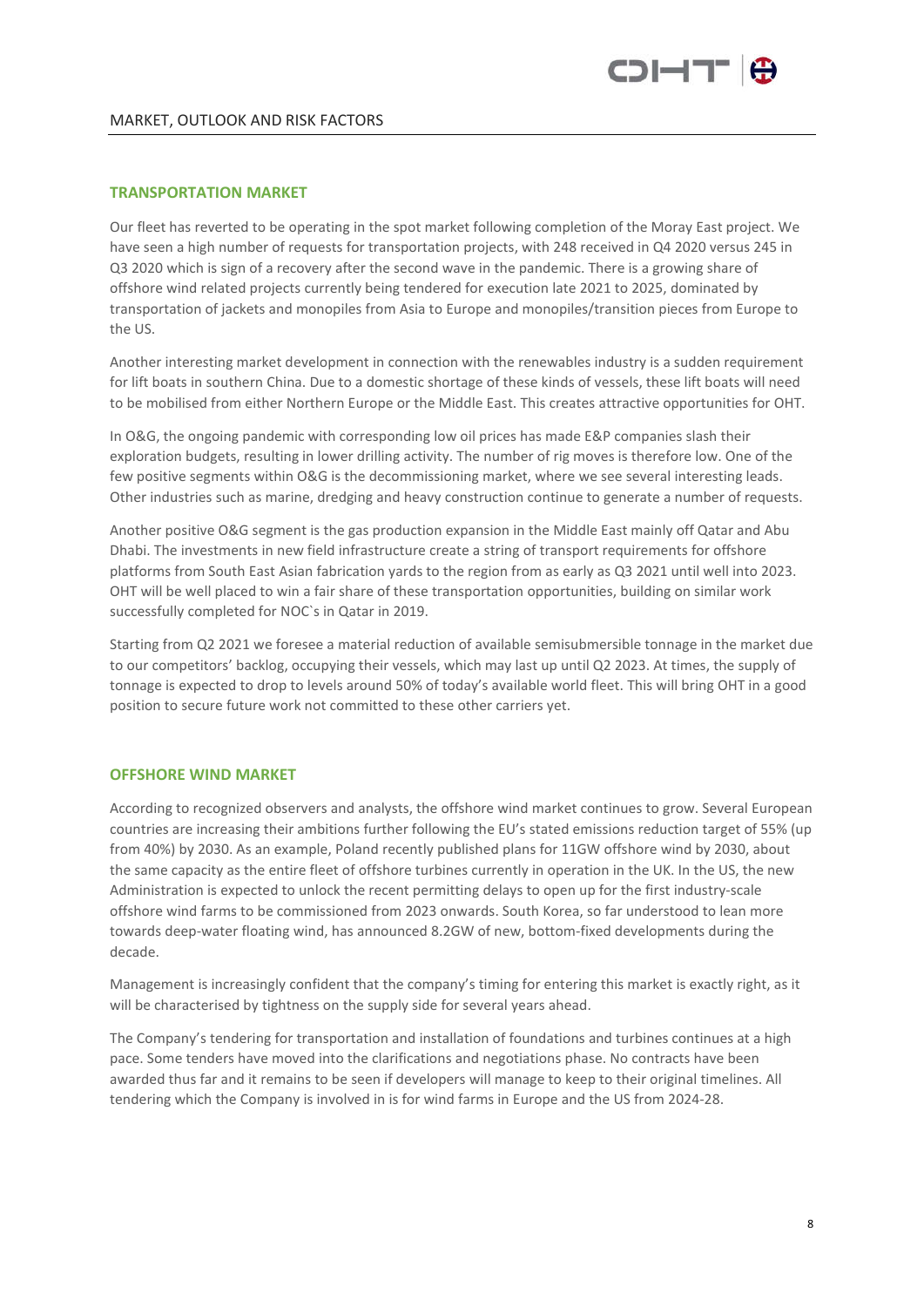

#### **TRANSPORTATION MARKET**

Our fleet has reverted to be operating in the spot market following completion of the Moray East project. We have seen a high number of requests for transportation projects, with 248 received in Q4 2020 versus 245 in Q3 2020 which is sign of a recovery after the second wave in the pandemic. There is a growing share of offshore wind related projects currently being tendered for execution late 2021 to 2025, dominated by transportation of jackets and monopiles from Asia to Europe and monopiles/transition pieces from Europe to the US.

Another interesting market development in connection with the renewables industry is a sudden requirement for lift boats in southern China. Due to a domestic shortage of these kinds of vessels, these lift boats will need to be mobilised from either Northern Europe or the Middle East. This creates attractive opportunities for OHT.

In O&G, the ongoing pandemic with corresponding low oil prices has made E&P companies slash their exploration budgets, resulting in lower drilling activity. The number of rig moves is therefore low. One of the few positive segments within O&G is the decommissioning market, where we see several interesting leads. Other industries such as marine, dredging and heavy construction continue to generate a number of requests.

Another positive O&G segment is the gas production expansion in the Middle East mainly off Qatar and Abu Dhabi. The investments in new field infrastructure create a string of transport requirements for offshore platforms from South East Asian fabrication yards to the region from as early as Q3 2021 until well into 2023. OHT will be well placed to win a fair share of these transportation opportunities, building on similar work successfully completed for NOC`s in Qatar in 2019.

Starting from Q2 2021 we foresee a material reduction of available semisubmersible tonnage in the market due to our competitors' backlog, occupying their vessels, which may last up until Q2 2023. At times, the supply of tonnage is expected to drop to levels around 50% of today's available world fleet. This will bring OHT in a good position to secure future work not committed to these other carriers yet.

#### **OFFSHORE WIND MARKET**

According to recognized observers and analysts, the offshore wind market continues to grow. Several European countries are increasing their ambitions further following the EU's stated emissions reduction target of 55% (up from 40%) by 2030. As an example, Poland recently published plans for 11GW offshore wind by 2030, about the same capacity as the entire fleet of offshore turbines currently in operation in the UK. In the US, the new Administration is expected to unlock the recent permitting delays to open up for the first industry-scale offshore wind farms to be commissioned from 2023 onwards. South Korea, so far understood to lean more towards deep-water floating wind, has announced 8.2GW of new, bottom-fixed developments during the decade.

Management is increasingly confident that the company's timing for entering this market is exactly right, as it will be characterised by tightness on the supply side for several years ahead.

The Company's tendering for transportation and installation of foundations and turbines continues at a high pace. Some tenders have moved into the clarifications and negotiations phase. No contracts have been awarded thus far and it remains to be seen if developers will manage to keep to their original timelines. All tendering which the Company is involved in is for wind farms in Europe and the US from 2024-28.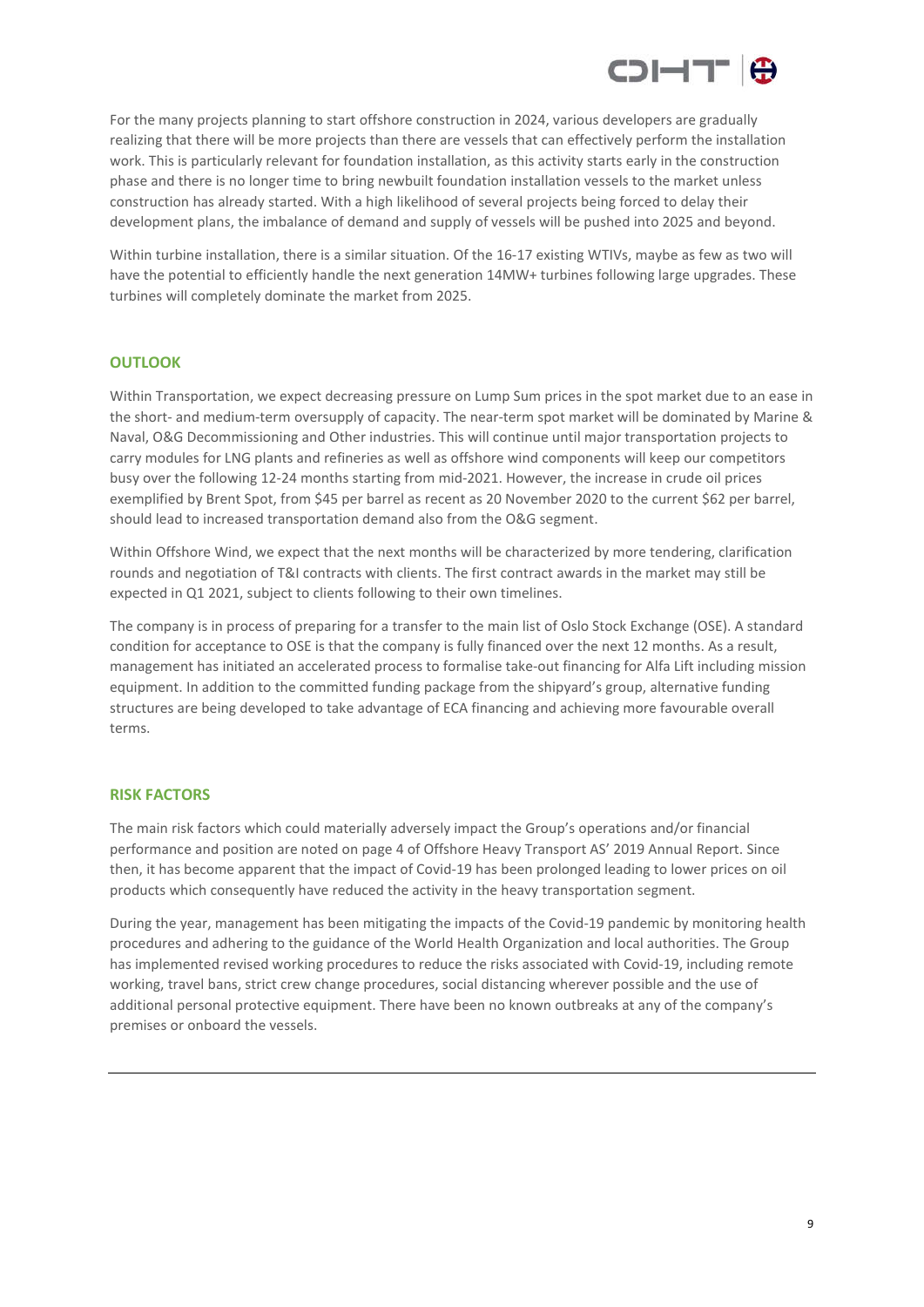

For the many projects planning to start offshore construction in 2024, various developers are gradually realizing that there will be more projects than there are vessels that can effectively perform the installation work. This is particularly relevant for foundation installation, as this activity starts early in the construction phase and there is no longer time to bring newbuilt foundation installation vessels to the market unless construction has already started. With a high likelihood of several projects being forced to delay their development plans, the imbalance of demand and supply of vessels will be pushed into 2025 and beyond.

Within turbine installation, there is a similar situation. Of the 16-17 existing WTIVs, maybe as few as two will have the potential to efficiently handle the next generation 14MW+ turbines following large upgrades. These turbines will completely dominate the market from 2025.

#### **OUTLOOK**

Within Transportation, we expect decreasing pressure on Lump Sum prices in the spot market due to an ease in the short- and medium-term oversupply of capacity. The near-term spot market will be dominated by Marine & Naval, O&G Decommissioning and Other industries. This will continue until major transportation projects to carry modules for LNG plants and refineries as well as offshore wind components will keep our competitors busy over the following 12-24 months starting from mid-2021. However, the increase in crude oil prices exemplified by Brent Spot, from \$45 per barrel as recent as 20 November 2020 to the current \$62 per barrel, should lead to increased transportation demand also from the O&G segment.

Within Offshore Wind, we expect that the next months will be characterized by more tendering, clarification rounds and negotiation of T&I contracts with clients. The first contract awards in the market may still be expected in Q1 2021, subject to clients following to their own timelines.

The company is in process of preparing for a transfer to the main list of Oslo Stock Exchange (OSE). A standard condition for acceptance to OSE is that the company is fully financed over the next 12 months. As a result, management has initiated an accelerated process to formalise take-out financing for Alfa Lift including mission equipment. In addition to the committed funding package from the shipyard's group, alternative funding structures are being developed to take advantage of ECA financing and achieving more favourable overall terms.

#### **RISK FACTORS**

The main risk factors which could materially adversely impact the Group's operations and/or financial performance and position are noted on page 4 of Offshore Heavy Transport AS' 2019 Annual Report. Since then, it has become apparent that the impact of Covid-19 has been prolonged leading to lower prices on oil products which consequently have reduced the activity in the heavy transportation segment.

During the year, management has been mitigating the impacts of the Covid-19 pandemic by monitoring health procedures and adhering to the guidance of the World Health Organization and local authorities. The Group has implemented revised working procedures to reduce the risks associated with Covid-19, including remote working, travel bans, strict crew change procedures, social distancing wherever possible and the use of additional personal protective equipment. There have been no known outbreaks at any of the company's premises or onboard the vessels.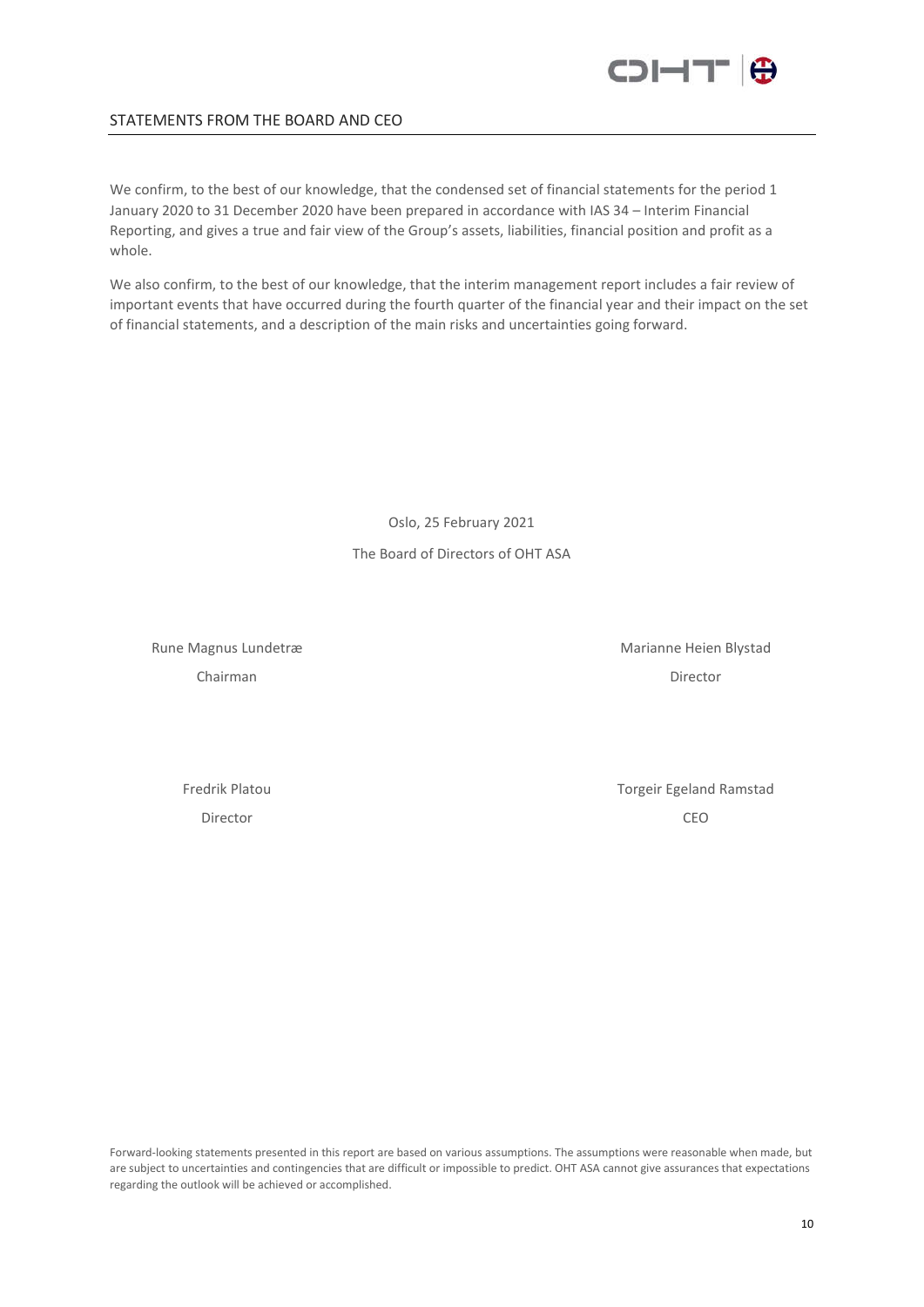

#### STATEMENTS FROM THE BOARD AND CEO

We confirm, to the best of our knowledge, that the condensed set of financial statements for the period 1 January 2020 to 31 December 2020 have been prepared in accordance with IAS 34 – Interim Financial Reporting, and gives a true and fair view of the Group's assets, liabilities, financial position and profit as a whole.

We also confirm, to the best of our knowledge, that the interim management report includes a fair review of important events that have occurred during the fourth quarter of the financial year and their impact on the set of financial statements, and a description of the main risks and uncertainties going forward.

> Oslo, 25 February 2021 The Board of Directors of OHT ASA

Rune Magnus Lundetræ Marianne Heien Blystad Chairman Director

Fredrik Platou **Torgeir Egeland Ramstad** Director CEO

Forward-looking statements presented in this report are based on various assumptions. The assumptions were reasonable when made, but are subject to uncertainties and contingencies that are difficult or impossible to predict. OHT ASA cannot give assurances that expectations regarding the outlook will be achieved or accomplished.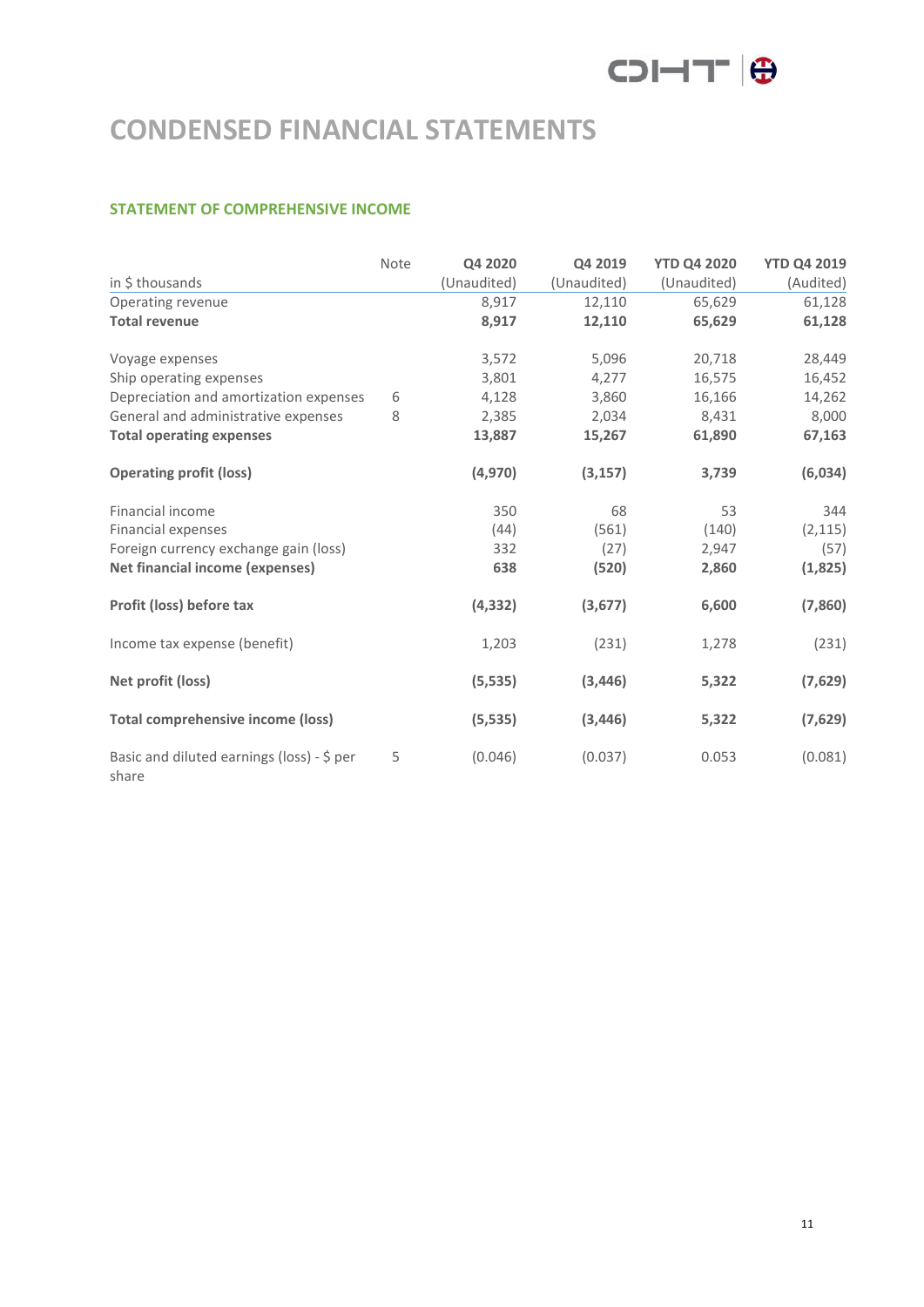# COI-IT O

# **CONDENSED FINANCIAL STATEMENTS**

# **STATEMENT OF COMPREHENSIVE INCOME**

|                                                     | Note | Q4 2020     | Q4 2019     | <b>YTD Q4 2020</b> | <b>YTD Q4 2019</b> |
|-----------------------------------------------------|------|-------------|-------------|--------------------|--------------------|
| in \$ thousands                                     |      | (Unaudited) | (Unaudited) | (Unaudited)        | (Audited)          |
| Operating revenue                                   |      | 8,917       | 12,110      | 65,629             | 61,128             |
| <b>Total revenue</b>                                |      | 8,917       | 12,110      | 65,629             | 61,128             |
| Voyage expenses                                     |      | 3,572       | 5,096       | 20,718             | 28,449             |
| Ship operating expenses                             |      | 3,801       | 4,277       | 16,575             | 16,452             |
| Depreciation and amortization expenses              | 6    | 4,128       | 3,860       | 16,166             | 14,262             |
| General and administrative expenses                 | 8    | 2,385       | 2,034       | 8,431              | 8,000              |
| <b>Total operating expenses</b>                     |      | 13,887      | 15,267      | 61,890             | 67,163             |
| <b>Operating profit (loss)</b>                      |      | (4,970)     | (3, 157)    | 3,739              | (6,034)            |
| Financial income                                    |      | 350         | 68          | 53                 | 344                |
| Financial expenses                                  |      | (44)        | (561)       | (140)              | (2, 115)           |
| Foreign currency exchange gain (loss)               |      | 332         | (27)        | 2,947              | (57)               |
| <b>Net financial income (expenses)</b>              |      | 638         | (520)       | 2,860              | (1,825)            |
| Profit (loss) before tax                            |      | (4, 332)    | (3,677)     | 6,600              | (7,860)            |
| Income tax expense (benefit)                        |      | 1,203       | (231)       | 1,278              | (231)              |
| Net profit (loss)                                   |      | (5, 535)    | (3, 446)    | 5,322              | (7,629)            |
| <b>Total comprehensive income (loss)</b>            |      | (5, 535)    | (3, 446)    | 5,322              | (7,629)            |
| Basic and diluted earnings (loss) - \$ per<br>share | 5    | (0.046)     | (0.037)     | 0.053              | (0.081)            |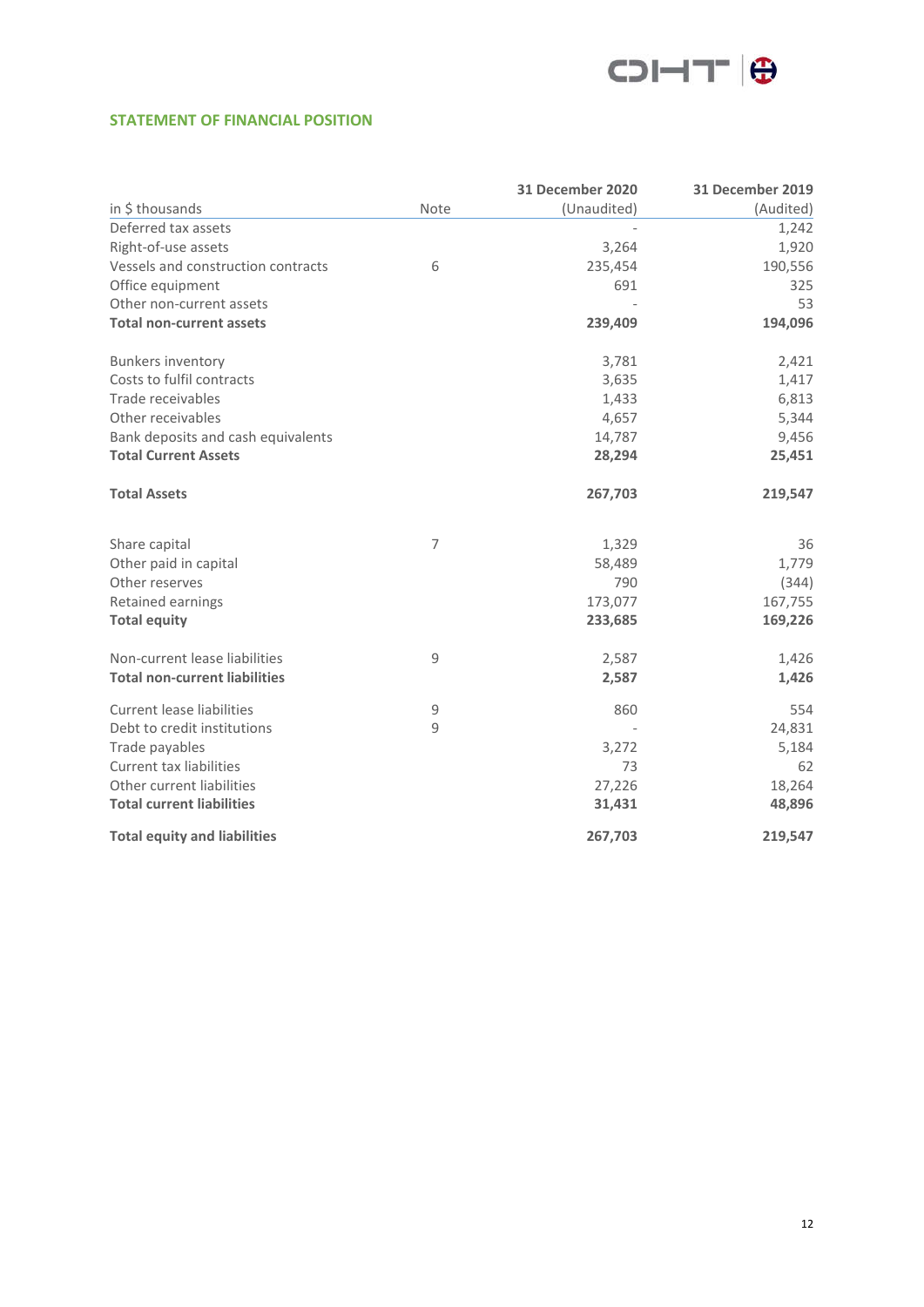

## **STATEMENT OF FINANCIAL POSITION**

|                                      |                | <b>31 December 2020</b> | <b>31 December 2019</b> |
|--------------------------------------|----------------|-------------------------|-------------------------|
| in \$ thousands                      | Note           | (Unaudited)             | (Audited)               |
| Deferred tax assets                  |                |                         | 1,242                   |
| Right-of-use assets                  |                | 3,264                   | 1,920                   |
| Vessels and construction contracts   | 6              | 235,454                 | 190,556                 |
| Office equipment                     |                | 691                     | 325                     |
| Other non-current assets             |                |                         | 53                      |
| <b>Total non-current assets</b>      |                | 239,409                 | 194,096                 |
| <b>Bunkers inventory</b>             |                | 3,781                   | 2,421                   |
| Costs to fulfil contracts            |                | 3,635                   | 1,417                   |
| Trade receivables                    |                | 1,433                   | 6,813                   |
| Other receivables                    |                | 4,657                   | 5,344                   |
| Bank deposits and cash equivalents   |                | 14,787                  | 9,456                   |
| <b>Total Current Assets</b>          |                | 28,294                  | 25,451                  |
| <b>Total Assets</b>                  |                | 267,703                 | 219,547                 |
| Share capital                        | $\overline{7}$ | 1,329                   | 36                      |
| Other paid in capital                |                | 58,489                  | 1,779                   |
| Other reserves                       |                | 790                     | (344)                   |
| Retained earnings                    |                | 173,077                 | 167,755                 |
| <b>Total equity</b>                  |                | 233,685                 | 169,226                 |
| Non-current lease liabilities        | 9              | 2,587                   | 1,426                   |
| <b>Total non-current liabilities</b> |                | 2,587                   | 1,426                   |
| <b>Current lease liabilities</b>     | $\mathsf 9$    | 860                     | 554                     |
| Debt to credit institutions          | 9              |                         | 24,831                  |
| Trade payables                       |                | 3,272                   | 5,184                   |
| <b>Current tax liabilities</b>       |                | 73                      | 62                      |
| Other current liabilities            |                | 27,226                  | 18,264                  |
| <b>Total current liabilities</b>     |                | 31,431                  | 48,896                  |
| <b>Total equity and liabilities</b>  |                | 267,703                 | 219,547                 |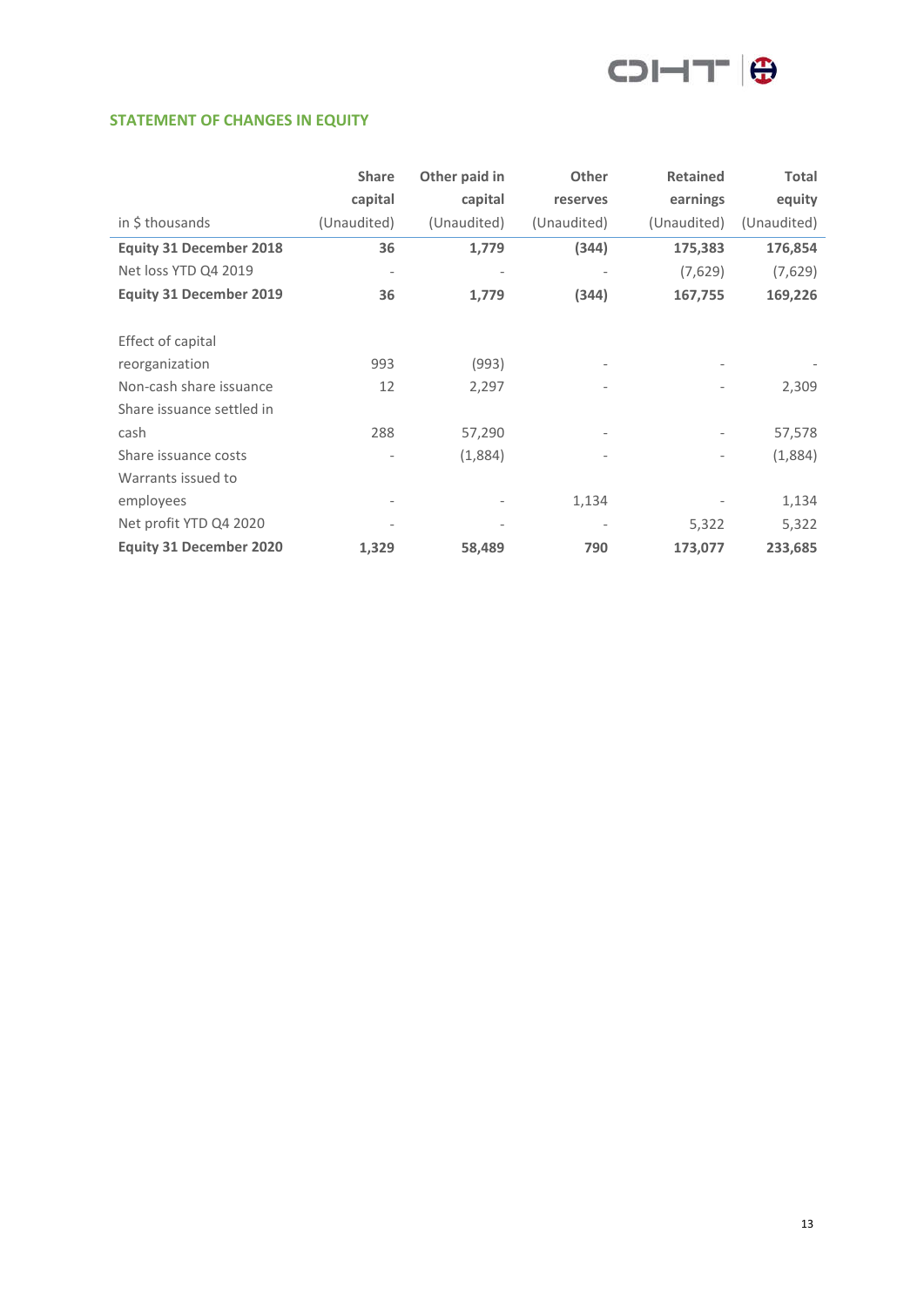

### **STATEMENT OF CHANGES IN EQUITY**

|                                | <b>Share</b>                 | Other paid in                | Other                    | <b>Retained</b> | <b>Total</b> |
|--------------------------------|------------------------------|------------------------------|--------------------------|-----------------|--------------|
|                                | capital                      | capital                      | reserves                 | earnings        | equity       |
| in \$ thousands                | (Unaudited)                  | (Unaudited)                  | (Unaudited)              | (Unaudited)     | (Unaudited)  |
| <b>Equity 31 December 2018</b> | 36                           | 1,779                        | (344)                    | 175,383         | 176,854      |
| Net loss YTD Q4 2019           | $\overline{\phantom{a}}$     |                              | $\overline{\phantom{a}}$ | (7,629)         | (7,629)      |
| <b>Equity 31 December 2019</b> | 36                           | 1,779                        | (344)                    | 167,755         | 169,226      |
|                                |                              |                              |                          |                 |              |
| Effect of capital              |                              |                              |                          |                 |              |
| reorganization                 | 993                          | (993)                        |                          |                 |              |
| Non-cash share issuance        | 12                           | 2,297                        |                          |                 | 2,309        |
| Share issuance settled in      |                              |                              |                          |                 |              |
| cash                           | 288                          | 57,290                       | $\overline{\phantom{a}}$ |                 | 57,578       |
| Share issuance costs           |                              | (1,884)                      |                          |                 | (1,884)      |
| Warrants issued to             |                              |                              |                          |                 |              |
| employees                      | $\qquad \qquad \blacksquare$ |                              | 1,134                    |                 | 1,134        |
| Net profit YTD Q4 2020         | $\qquad \qquad \blacksquare$ | $\qquad \qquad \blacksquare$ | $\overline{\phantom{a}}$ | 5,322           | 5,322        |
| <b>Equity 31 December 2020</b> | 1,329                        | 58,489                       | 790                      | 173,077         | 233,685      |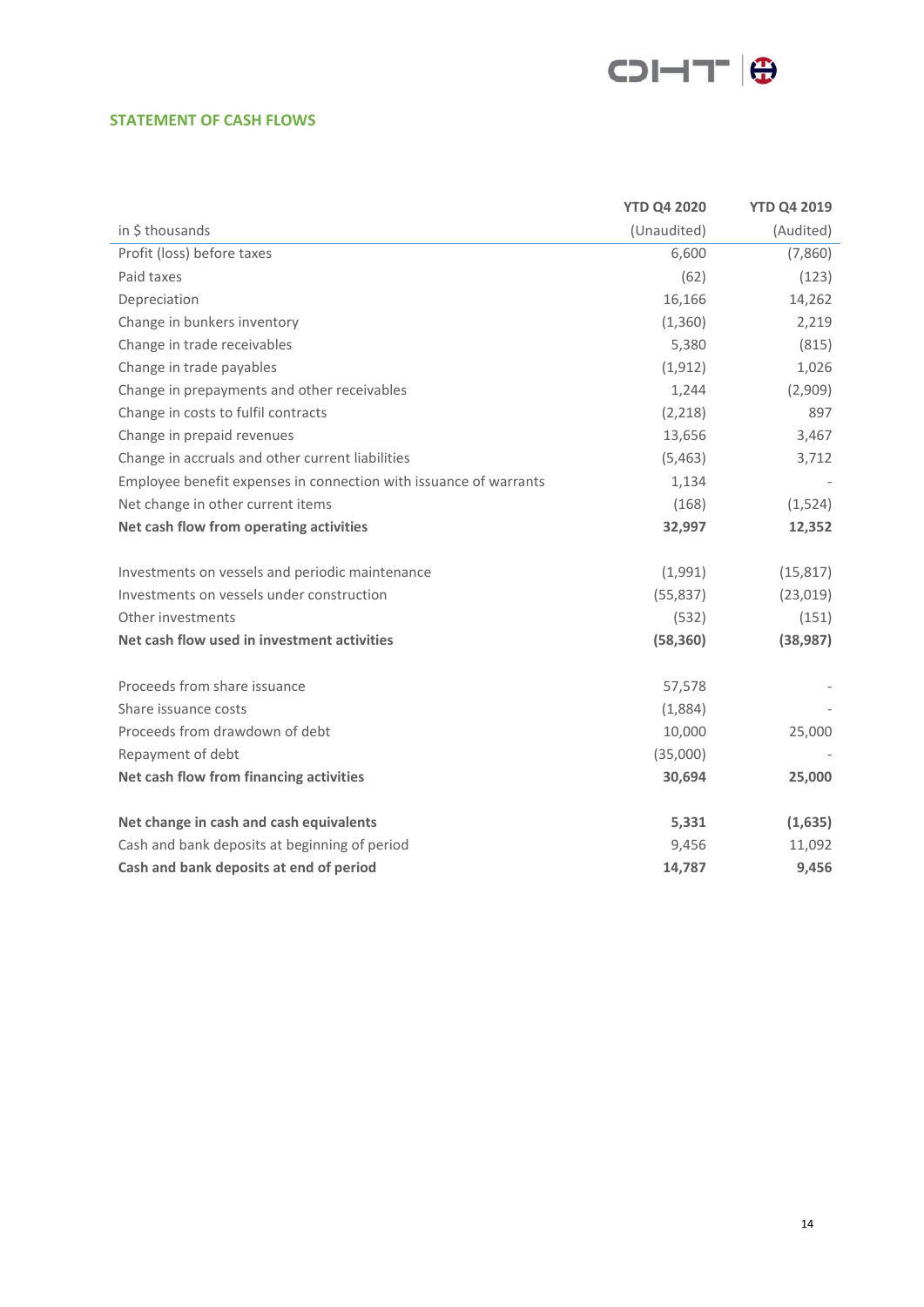

### **STATEMENT OF CASH FLOWS**

|                                                                   | <b>YTD Q4 2020</b> | <b>YTD Q4 2019</b> |
|-------------------------------------------------------------------|--------------------|--------------------|
| in \$ thousands                                                   | (Unaudited)        | (Audited)          |
| Profit (loss) before taxes                                        | 6,600              | (7,860)            |
| Paid taxes                                                        | (62)               | (123)              |
| Depreciation                                                      | 16,166             | 14,262             |
| Change in bunkers inventory                                       | (1,360)            | 2,219              |
| Change in trade receivables                                       | 5,380              | (815)              |
| Change in trade payables                                          | (1, 912)           | 1,026              |
| Change in prepayments and other receivables                       | 1,244              | (2,909)            |
| Change in costs to fulfil contracts                               | (2, 218)           | 897                |
| Change in prepaid revenues                                        | 13,656             | 3,467              |
| Change in accruals and other current liabilities                  | (5,463)            | 3,712              |
| Employee benefit expenses in connection with issuance of warrants | 1,134              |                    |
| Net change in other current items                                 | (168)              | (1,524)            |
| Net cash flow from operating activities                           | 32,997             | 12,352             |
|                                                                   |                    |                    |
| Investments on vessels and periodic maintenance                   | (1,991)            | (15, 817)          |
| Investments on vessels under construction                         | (55, 837)          | (23,019)           |
| Other investments                                                 | (532)              | (151)              |
| Net cash flow used in investment activities                       | (58, 360)          | (38, 987)          |
|                                                                   |                    |                    |
| Proceeds from share issuance                                      | 57,578             |                    |
| Share issuance costs                                              | (1,884)            |                    |
| Proceeds from drawdown of debt                                    | 10,000             | 25,000             |
| Repayment of debt                                                 | (35,000)           |                    |
| Net cash flow from financing activities                           | 30,694             | 25,000             |
|                                                                   |                    |                    |
| Net change in cash and cash equivalents                           | 5,331              | (1,635)            |
| Cash and bank deposits at beginning of period                     | 9,456              | 11,092             |
| Cash and bank deposits at end of period                           | 14,787             | 9,456              |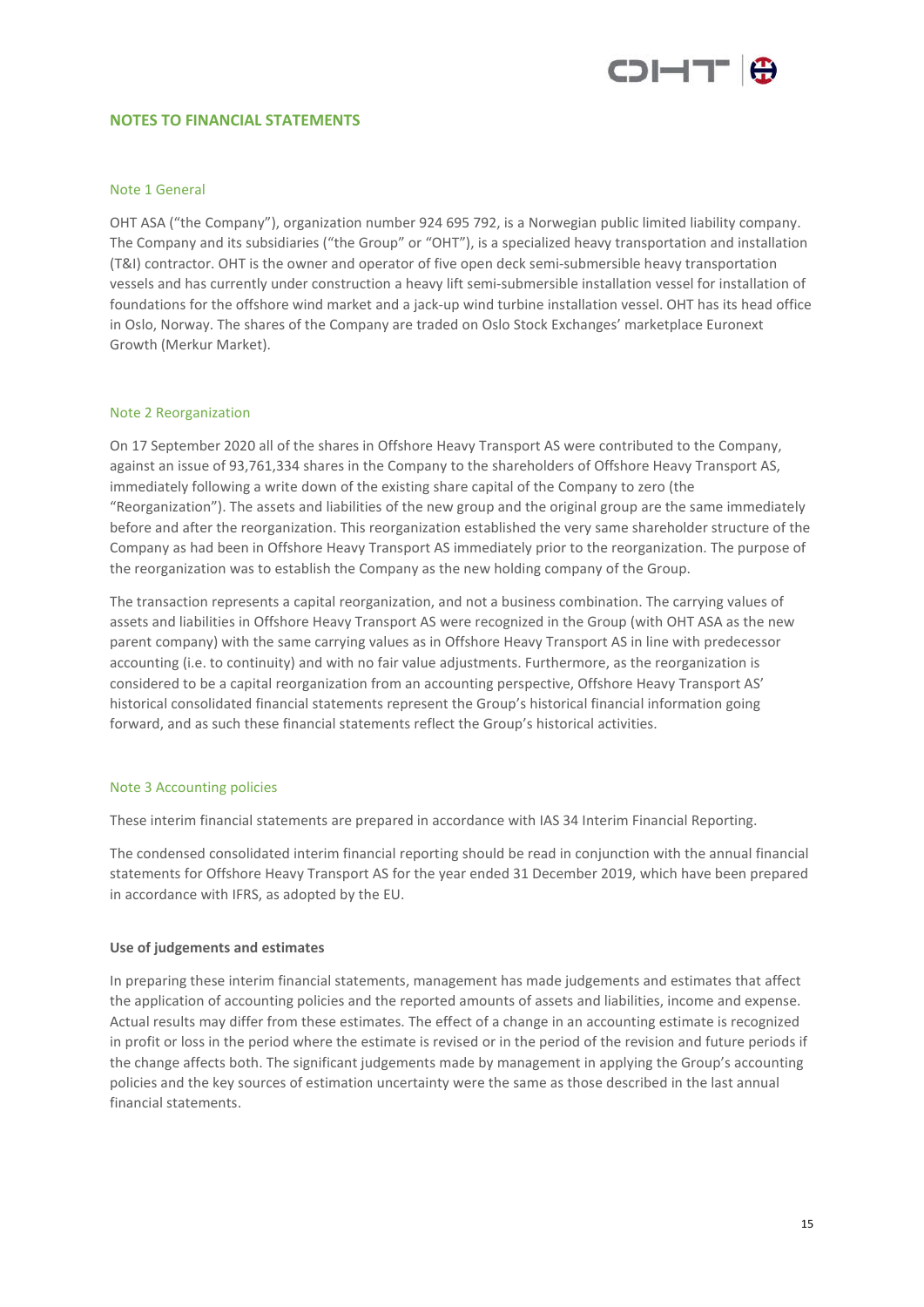

#### **NOTES TO FINANCIAL STATEMENTS**

#### Note 1 General

OHT ASA ("the Company"), organization number 924 695 792, is a Norwegian public limited liability company. The Company and its subsidiaries ("the Group" or "OHT"), is a specialized heavy transportation and installation (T&I) contractor. OHT is the owner and operator of five open deck semi-submersible heavy transportation vessels and has currently under construction a heavy lift semi-submersible installation vessel for installation of foundations for the offshore wind market and a jack-up wind turbine installation vessel. OHT has its head office in Oslo, Norway. The shares of the Company are traded on Oslo Stock Exchanges' marketplace Euronext Growth (Merkur Market).

#### Note 2 Reorganization

On 17 September 2020 all of the shares in Offshore Heavy Transport AS were contributed to the Company, against an issue of 93,761,334 shares in the Company to the shareholders of Offshore Heavy Transport AS, immediately following a write down of the existing share capital of the Company to zero (the "Reorganization"). The assets and liabilities of the new group and the original group are the same immediately before and after the reorganization. This reorganization established the very same shareholder structure of the Company as had been in Offshore Heavy Transport AS immediately prior to the reorganization. The purpose of the reorganization was to establish the Company as the new holding company of the Group.

The transaction represents a capital reorganization, and not a business combination. The carrying values of assets and liabilities in Offshore Heavy Transport AS were recognized in the Group (with OHT ASA as the new parent company) with the same carrying values as in Offshore Heavy Transport AS in line with predecessor accounting (i.e. to continuity) and with no fair value adjustments. Furthermore, as the reorganization is considered to be a capital reorganization from an accounting perspective, Offshore Heavy Transport AS' historical consolidated financial statements represent the Group's historical financial information going forward, and as such these financial statements reflect the Group's historical activities.

#### Note 3 Accounting policies

These interim financial statements are prepared in accordance with IAS 34 Interim Financial Reporting.

The condensed consolidated interim financial reporting should be read in conjunction with the annual financial statements for Offshore Heavy Transport AS for the year ended 31 December 2019, which have been prepared in accordance with IFRS, as adopted by the EU.

#### **Use of judgements and estimates**

In preparing these interim financial statements, management has made judgements and estimates that affect the application of accounting policies and the reported amounts of assets and liabilities, income and expense. Actual results may differ from these estimates. The effect of a change in an accounting estimate is recognized in profit or loss in the period where the estimate is revised or in the period of the revision and future periods if the change affects both. The significant judgements made by management in applying the Group's accounting policies and the key sources of estimation uncertainty were the same as those described in the last annual financial statements.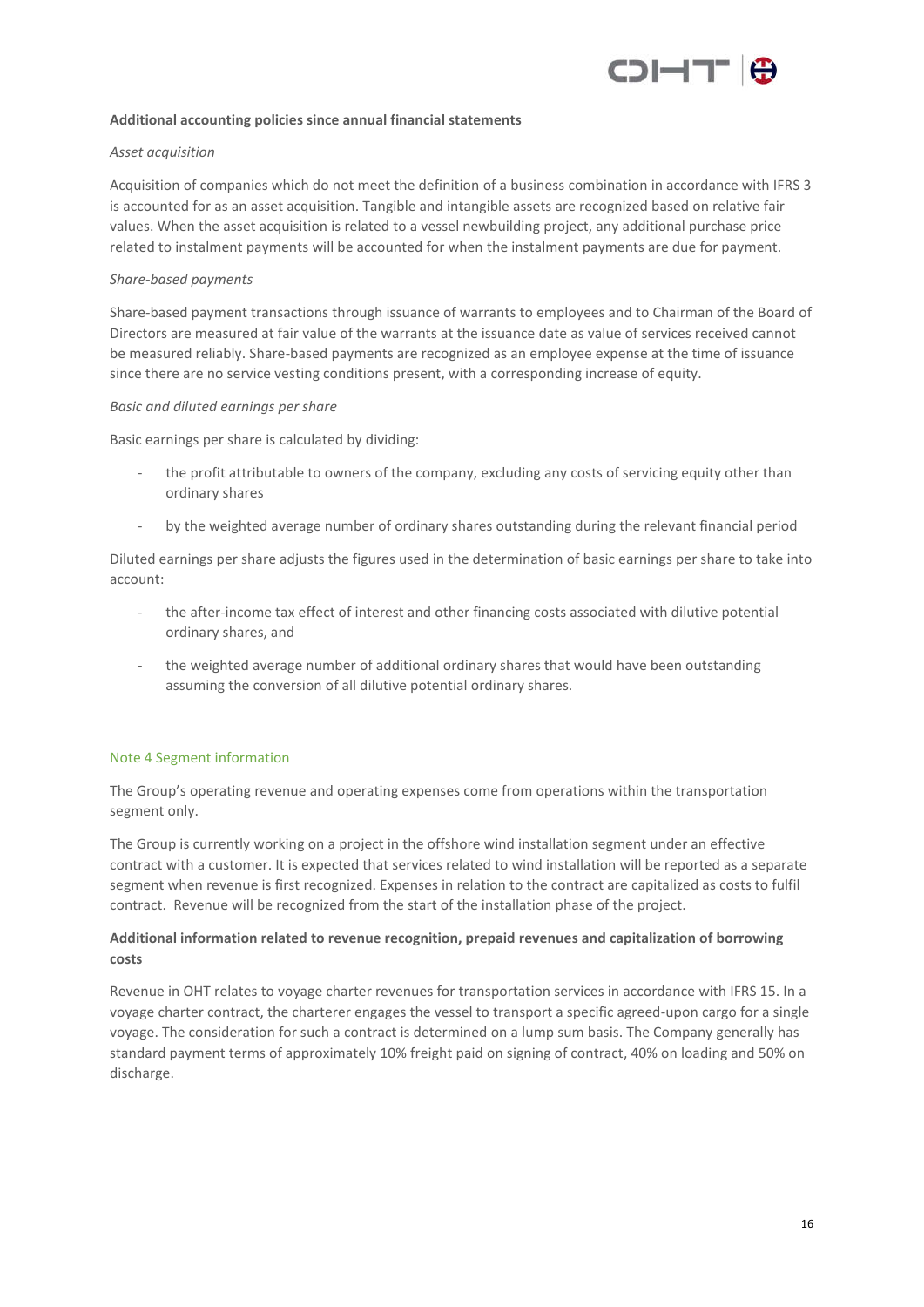

#### **Additional accounting policies since annual financial statements**

#### *Asset acquisition*

Acquisition of companies which do not meet the definition of a business combination in accordance with IFRS 3 is accounted for as an asset acquisition. Tangible and intangible assets are recognized based on relative fair values. When the asset acquisition is related to a vessel newbuilding project, any additional purchase price related to instalment payments will be accounted for when the instalment payments are due for payment.

#### *Share-based payments*

Share-based payment transactions through issuance of warrants to employees and to Chairman of the Board of Directors are measured at fair value of the warrants at the issuance date as value of services received cannot be measured reliably. Share-based payments are recognized as an employee expense at the time of issuance since there are no service vesting conditions present, with a corresponding increase of equity.

#### *Basic and diluted earnings per share*

Basic earnings per share is calculated by dividing:

- the profit attributable to owners of the company, excluding any costs of servicing equity other than ordinary shares
- by the weighted average number of ordinary shares outstanding during the relevant financial period

Diluted earnings per share adjusts the figures used in the determination of basic earnings per share to take into account:

- the after-income tax effect of interest and other financing costs associated with dilutive potential ordinary shares, and
- the weighted average number of additional ordinary shares that would have been outstanding assuming the conversion of all dilutive potential ordinary shares.

#### Note 4 Segment information

The Group's operating revenue and operating expenses come from operations within the transportation segment only.

The Group is currently working on a project in the offshore wind installation segment under an effective contract with a customer. It is expected that services related to wind installation will be reported as a separate segment when revenue is first recognized. Expenses in relation to the contract are capitalized as costs to fulfil contract. Revenue will be recognized from the start of the installation phase of the project.

#### **Additional information related to revenue recognition, prepaid revenues and capitalization of borrowing costs**

Revenue in OHT relates to voyage charter revenues for transportation services in accordance with IFRS 15. In a voyage charter contract, the charterer engages the vessel to transport a specific agreed-upon cargo for a single voyage. The consideration for such a contract is determined on a lump sum basis. The Company generally has standard payment terms of approximately 10% freight paid on signing of contract, 40% on loading and 50% on discharge.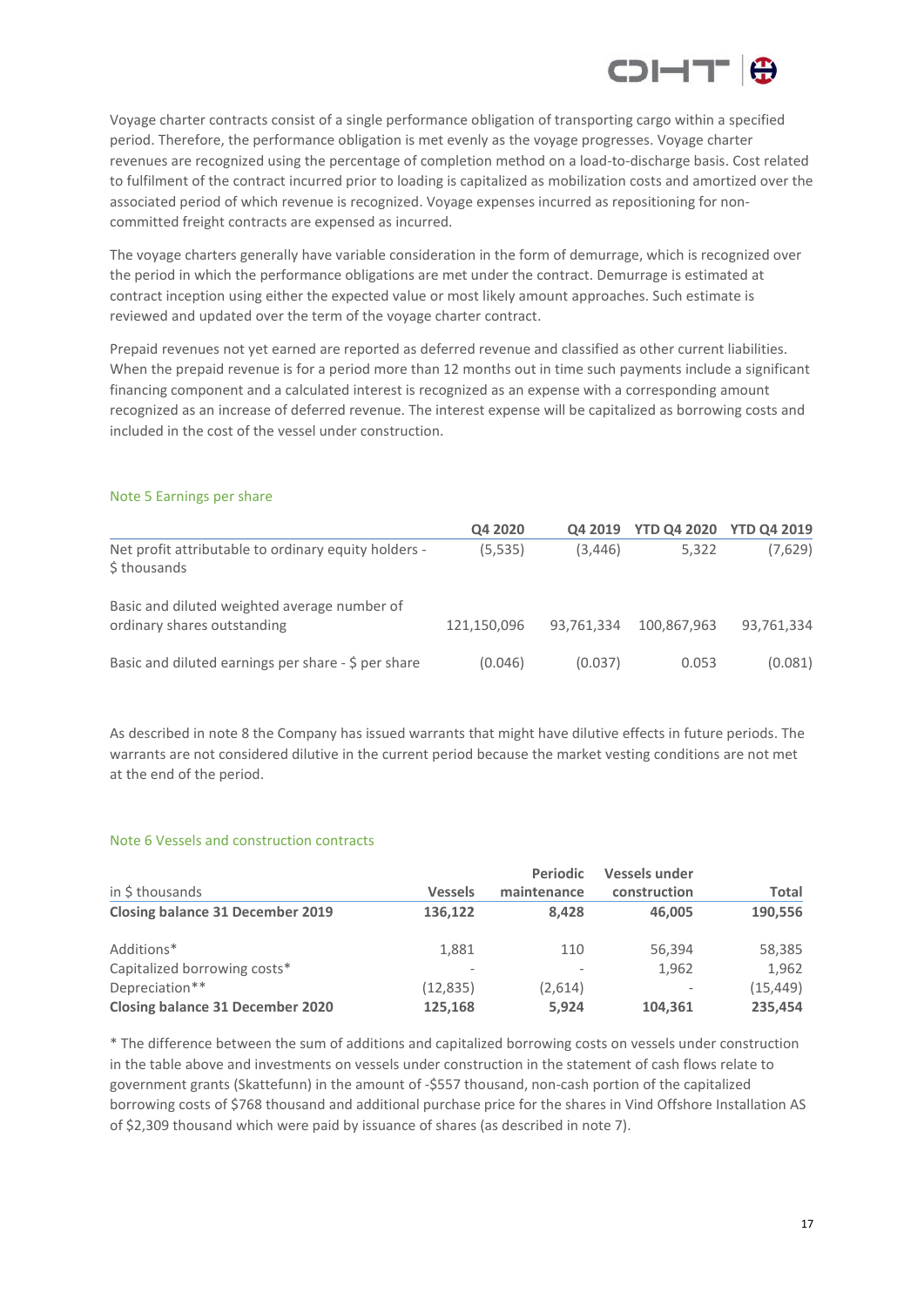

Voyage charter contracts consist of a single performance obligation of transporting cargo within a specified period. Therefore, the performance obligation is met evenly as the voyage progresses. Voyage charter revenues are recognized using the percentage of completion method on a load-to-discharge basis. Cost related to fulfilment of the contract incurred prior to loading is capitalized as mobilization costs and amortized over the associated period of which revenue is recognized. Voyage expenses incurred as repositioning for noncommitted freight contracts are expensed as incurred.

The voyage charters generally have variable consideration in the form of demurrage, which is recognized over the period in which the performance obligations are met under the contract. Demurrage is estimated at contract inception using either the expected value or most likely amount approaches. Such estimate is reviewed and updated over the term of the voyage charter contract.

Prepaid revenues not yet earned are reported as deferred revenue and classified as other current liabilities. When the prepaid revenue is for a period more than 12 months out in time such payments include a significant financing component and a calculated interest is recognized as an expense with a corresponding amount recognized as an increase of deferred revenue. The interest expense will be capitalized as borrowing costs and included in the cost of the vessel under construction.

|                                                                             | Q4 2020     | Q4 2019    | <b>YTD Q4 2020</b> | <b>YTD Q4 2019</b> |
|-----------------------------------------------------------------------------|-------------|------------|--------------------|--------------------|
| Net profit attributable to ordinary equity holders -<br>\$ thousands        | (5,535)     | (3, 446)   | 5.322              | (7,629)            |
| Basic and diluted weighted average number of<br>ordinary shares outstanding | 121,150,096 | 93.761.334 | 100.867.963        | 93,761,334         |
| Basic and diluted earnings per share - \$ per share                         | (0.046)     | (0.037)    | 0.053              | (0.081)            |

#### Note 5 Earnings per share

As described in note 8 the Company has issued warrants that might have dilutive effects in future periods. The warrants are not considered dilutive in the current period because the market vesting conditions are not met at the end of the period.

#### Note 6 Vessels and construction contracts

|                                         |                          | <b>Periodic</b> | <b>Vessels under</b>     |              |
|-----------------------------------------|--------------------------|-----------------|--------------------------|--------------|
| in \$ thousands                         | <b>Vessels</b>           | maintenance     | construction             | <b>Total</b> |
| <b>Closing balance 31 December 2019</b> | 136,122                  | 8.428           | 46.005                   | 190,556      |
| Additions*                              | 1.881                    | 110             | 56,394                   | 58,385       |
| Capitalized borrowing costs*            | $\overline{\phantom{a}}$ |                 | 1,962                    | 1.962        |
| Depreciation**                          | (12, 835)                | (2,614)         | $\overline{\phantom{a}}$ | (15, 449)    |
| <b>Closing balance 31 December 2020</b> | 125,168                  | 5.924           | 104,361                  | 235,454      |

\* The difference between the sum of additions and capitalized borrowing costs on vessels under construction in the table above and investments on vessels under construction in the statement of cash flows relate to government grants (Skattefunn) in the amount of -\$557 thousand, non-cash portion of the capitalized borrowing costs of \$768 thousand and additional purchase price for the shares in Vind Offshore Installation AS of \$2,309 thousand which were paid by issuance of shares (as described in note 7).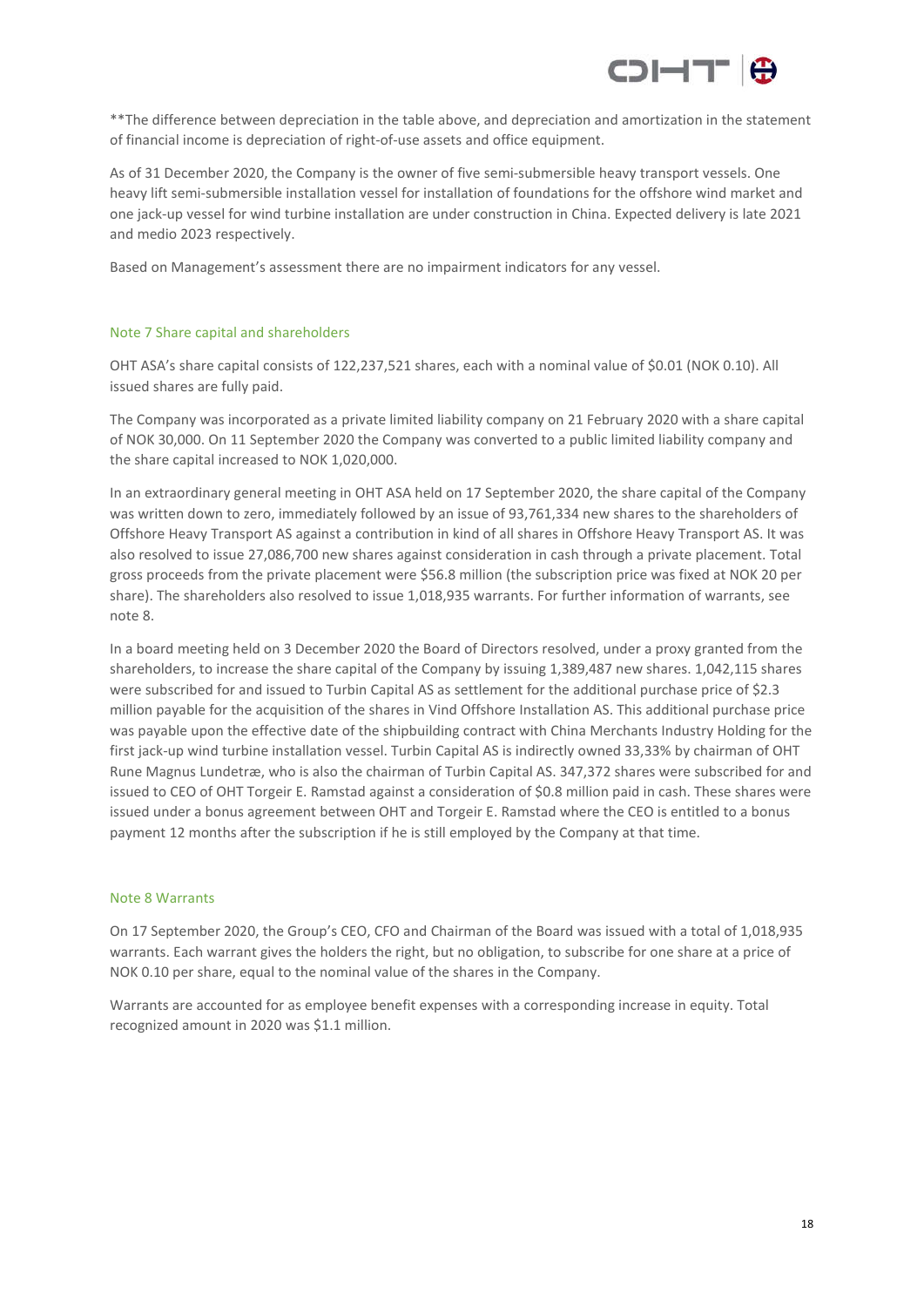

\*\*The difference between depreciation in the table above, and depreciation and amortization in the statement of financial income is depreciation of right-of-use assets and office equipment.

As of 31 December 2020, the Company is the owner of five semi-submersible heavy transport vessels. One heavy lift semi-submersible installation vessel for installation of foundations for the offshore wind market and one jack-up vessel for wind turbine installation are under construction in China. Expected delivery is late 2021 and medio 2023 respectively.

Based on Management's assessment there are no impairment indicators for any vessel.

#### Note 7 Share capital and shareholders

OHT ASA's share capital consists of 122,237,521 shares, each with a nominal value of \$0.01 (NOK 0.10). All issued shares are fully paid.

The Company was incorporated as a private limited liability company on 21 February 2020 with a share capital of NOK 30,000. On 11 September 2020 the Company was converted to a public limited liability company and the share capital increased to NOK 1,020,000.

In an extraordinary general meeting in OHT ASA held on 17 September 2020, the share capital of the Company was written down to zero, immediately followed by an issue of 93,761,334 new shares to the shareholders of Offshore Heavy Transport AS against a contribution in kind of all shares in Offshore Heavy Transport AS. It was also resolved to issue 27,086,700 new shares against consideration in cash through a private placement. Total gross proceeds from the private placement were \$56.8 million (the subscription price was fixed at NOK 20 per share). The shareholders also resolved to issue 1,018,935 warrants. For further information of warrants, see note 8.

In a board meeting held on 3 December 2020 the Board of Directors resolved, under a proxy granted from the shareholders, to increase the share capital of the Company by issuing 1,389,487 new shares. 1,042,115 shares were subscribed for and issued to Turbin Capital AS as settlement for the additional purchase price of \$2.3 million payable for the acquisition of the shares in Vind Offshore Installation AS. This additional purchase price was payable upon the effective date of the shipbuilding contract with China Merchants Industry Holding for the first jack-up wind turbine installation vessel. Turbin Capital AS is indirectly owned 33,33% by chairman of OHT Rune Magnus Lundetræ, who is also the chairman of Turbin Capital AS. 347,372 shares were subscribed for and issued to CEO of OHT Torgeir E. Ramstad against a consideration of \$0.8 million paid in cash. These shares were issued under a bonus agreement between OHT and Torgeir E. Ramstad where the CEO is entitled to a bonus payment 12 months after the subscription if he is still employed by the Company at that time.

#### Note 8 Warrants

On 17 September 2020, the Group's CEO, CFO and Chairman of the Board was issued with a total of 1,018,935 warrants. Each warrant gives the holders the right, but no obligation, to subscribe for one share at a price of NOK 0.10 per share, equal to the nominal value of the shares in the Company.

Warrants are accounted for as employee benefit expenses with a corresponding increase in equity. Total recognized amount in 2020 was \$1.1 million.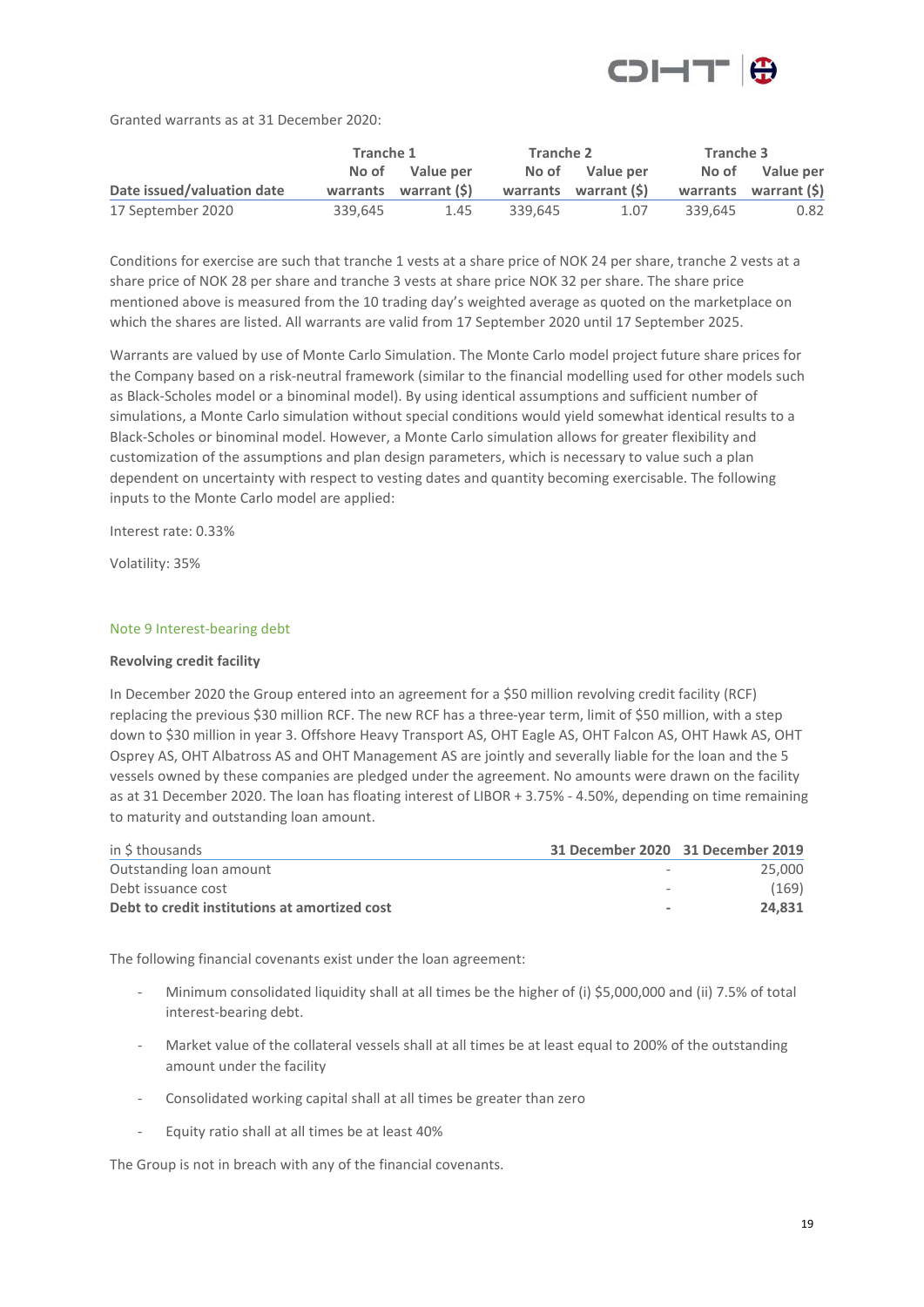

Granted warrants as at 31 December 2020:

|                            | Tranche 1 |                       | Tranche 2 |                       | Tranche 3 |                        |
|----------------------------|-----------|-----------------------|-----------|-----------------------|-----------|------------------------|
|                            |           | No of Value per       |           | No of Value per       |           | No of Value per        |
| Date issued/valuation date |           | warrants warrant (\$) |           | warrants warrant (\$) |           | warrants warrant $(5)$ |
| 17 September 2020          | 339.645   | 1.45                  | 339.645   | 1.07                  | 339.645   | 0.82                   |

Conditions for exercise are such that tranche 1 vests at a share price of NOK 24 per share, tranche 2 vests at a share price of NOK 28 per share and tranche 3 vests at share price NOK 32 per share. The share price mentioned above is measured from the 10 trading day's weighted average as quoted on the marketplace on which the shares are listed. All warrants are valid from 17 September 2020 until 17 September 2025.

Warrants are valued by use of Monte Carlo Simulation. The Monte Carlo model project future share prices for the Company based on a risk-neutral framework (similar to the financial modelling used for other models such as Black-Scholes model or a binominal model). By using identical assumptions and sufficient number of simulations, a Monte Carlo simulation without special conditions would yield somewhat identical results to a Black-Scholes or binominal model. However, a Monte Carlo simulation allows for greater flexibility and customization of the assumptions and plan design parameters, which is necessary to value such a plan dependent on uncertainty with respect to vesting dates and quantity becoming exercisable. The following inputs to the Monte Carlo model are applied:

Interest rate: 0.33%

Volatility: 35%

#### Note 9 Interest-bearing debt

#### **Revolving credit facility**

In December 2020 the Group entered into an agreement for a \$50 million revolving credit facility (RCF) replacing the previous \$30 million RCF. The new RCF has a three-year term, limit of \$50 million, with a step down to \$30 million in year 3. Offshore Heavy Transport AS, OHT Eagle AS, OHT Falcon AS, OHT Hawk AS, OHT Osprey AS, OHT Albatross AS and OHT Management AS are jointly and severally liable for the loan and the 5 vessels owned by these companies are pledged under the agreement. No amounts were drawn on the facility as at 31 December 2020. The loan has floating interest of LIBOR + 3.75% - 4.50%, depending on time remaining to maturity and outstanding loan amount.

| in \$ thousands                               | 31 December 2020 31 December 2019 |        |
|-----------------------------------------------|-----------------------------------|--------|
| Outstanding loan amount                       |                                   | 25,000 |
| Debt issuance cost                            |                                   | (169)  |
| Debt to credit institutions at amortized cost | $\blacksquare$                    | 24.831 |

The following financial covenants exist under the loan agreement:

- Minimum consolidated liquidity shall at all times be the higher of (i) \$5,000,000 and (ii) 7.5% of total interest-bearing debt.
- Market value of the collateral vessels shall at all times be at least equal to 200% of the outstanding amount under the facility
- Consolidated working capital shall at all times be greater than zero
- Equity ratio shall at all times be at least 40%

The Group is not in breach with any of the financial covenants.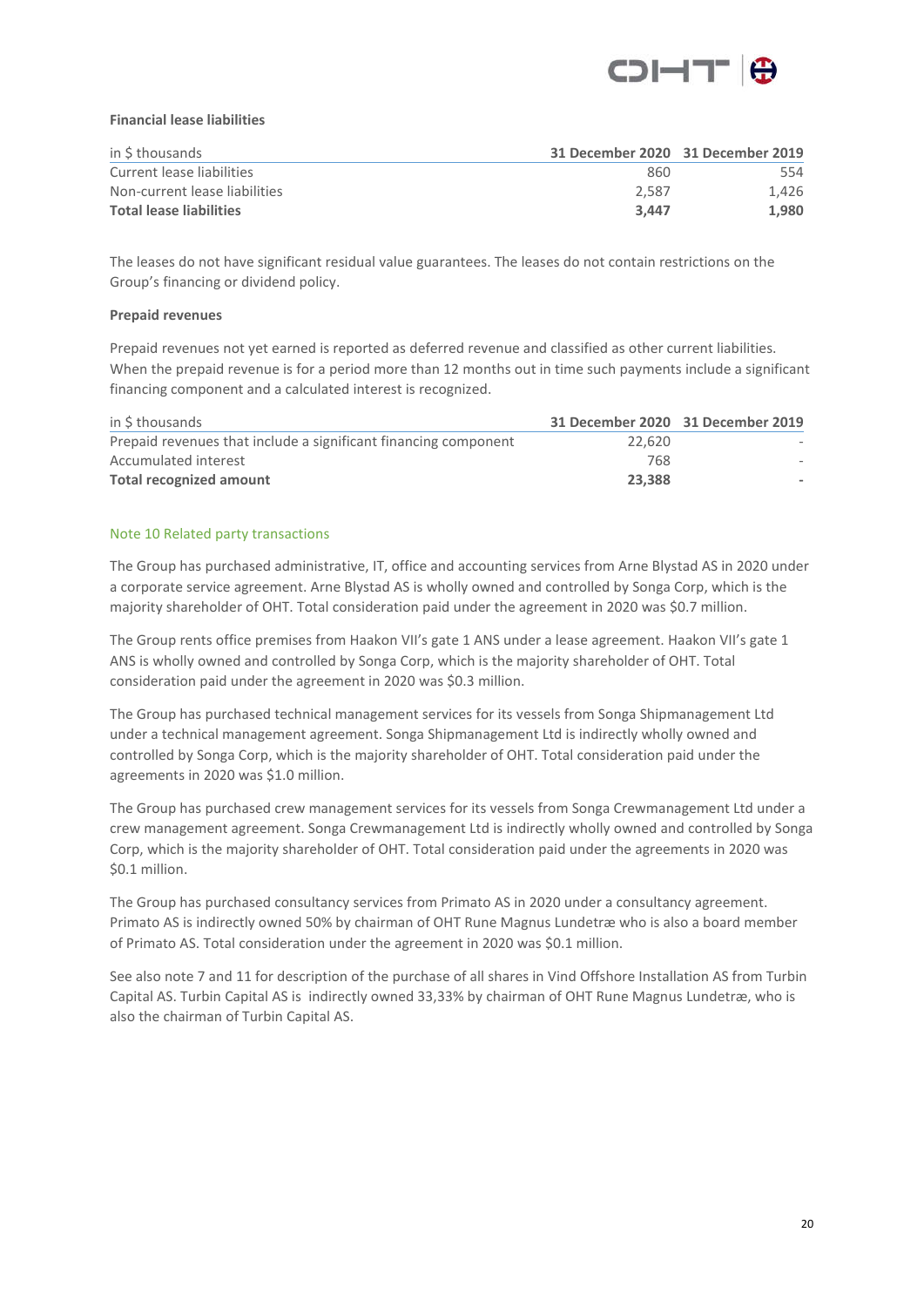

#### **Financial lease liabilities**

| in \$ thousands                | 31 December 2020 31 December 2019 |       |
|--------------------------------|-----------------------------------|-------|
| Current lease liabilities      | -860                              | 554   |
| Non-current lease liabilities  | 2.587                             | 1.426 |
| <b>Total lease liabilities</b> | 3.447                             | 1.980 |

The leases do not have significant residual value guarantees. The leases do not contain restrictions on the Group's financing or dividend policy.

#### **Prepaid revenues**

Prepaid revenues not yet earned is reported as deferred revenue and classified as other current liabilities. When the prepaid revenue is for a period more than 12 months out in time such payments include a significant financing component and a calculated interest is recognized.

| in \$ thousands                                                 | 31 December 2020 31 December 2019 |  |
|-----------------------------------------------------------------|-----------------------------------|--|
| Prepaid revenues that include a significant financing component | 22.620                            |  |
| Accumulated interest                                            | 768                               |  |
| <b>Total recognized amount</b>                                  | 23,388                            |  |

#### Note 10 Related party transactions

The Group has purchased administrative, IT, office and accounting services from Arne Blystad AS in 2020 under a corporate service agreement. Arne Blystad AS is wholly owned and controlled by Songa Corp, which is the majority shareholder of OHT. Total consideration paid under the agreement in 2020 was \$0.7 million.

The Group rents office premises from Haakon VII's gate 1 ANS under a lease agreement. Haakon VII's gate 1 ANS is wholly owned and controlled by Songa Corp, which is the majority shareholder of OHT. Total consideration paid under the agreement in 2020 was \$0.3 million.

The Group has purchased technical management services for its vessels from Songa Shipmanagement Ltd under a technical management agreement. Songa Shipmanagement Ltd is indirectly wholly owned and controlled by Songa Corp, which is the majority shareholder of OHT. Total consideration paid under the agreements in 2020 was \$1.0 million.

The Group has purchased crew management services for its vessels from Songa Crewmanagement Ltd under a crew management agreement. Songa Crewmanagement Ltd is indirectly wholly owned and controlled by Songa Corp, which is the majority shareholder of OHT. Total consideration paid under the agreements in 2020 was \$0.1 million.

The Group has purchased consultancy services from Primato AS in 2020 under a consultancy agreement. Primato AS is indirectly owned 50% by chairman of OHT Rune Magnus Lundetræ who is also a board member of Primato AS. Total consideration under the agreement in 2020 was \$0.1 million.

See also note 7 and 11 for description of the purchase of all shares in Vind Offshore Installation AS from Turbin Capital AS. Turbin Capital AS is indirectly owned 33,33% by chairman of OHT Rune Magnus Lundetræ, who is also the chairman of Turbin Capital AS.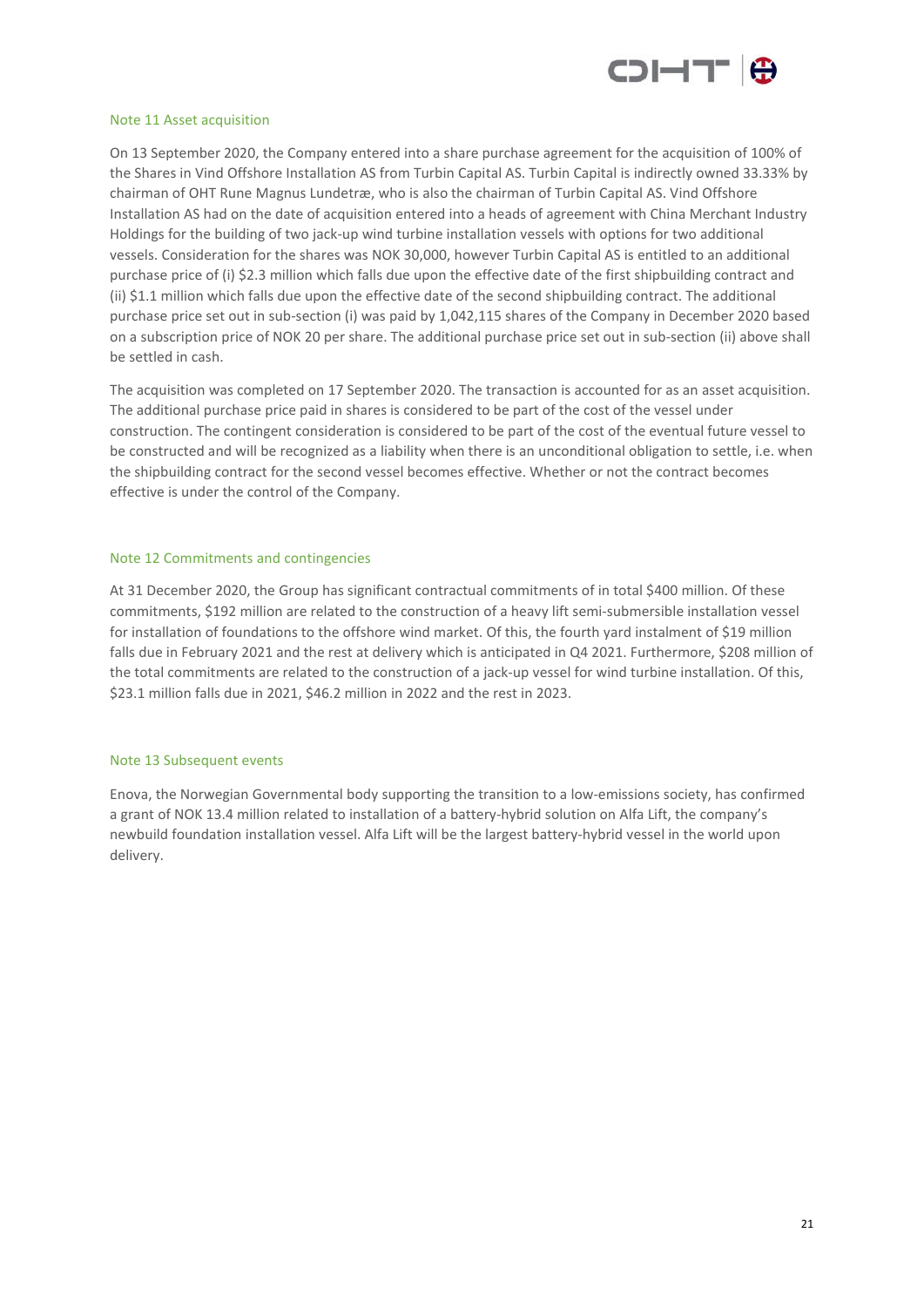

#### Note 11 Asset acquisition

On 13 September 2020, the Company entered into a share purchase agreement for the acquisition of 100% of the Shares in Vind Offshore Installation AS from Turbin Capital AS. Turbin Capital is indirectly owned 33.33% by chairman of OHT Rune Magnus Lundetræ, who is also the chairman of Turbin Capital AS. Vind Offshore Installation AS had on the date of acquisition entered into a heads of agreement with China Merchant Industry Holdings for the building of two jack-up wind turbine installation vessels with options for two additional vessels. Consideration for the shares was NOK 30,000, however Turbin Capital AS is entitled to an additional purchase price of (i) \$2.3 million which falls due upon the effective date of the first shipbuilding contract and (ii) \$1.1 million which falls due upon the effective date of the second shipbuilding contract. The additional purchase price set out in sub-section (i) was paid by 1,042,115 shares of the Company in December 2020 based on a subscription price of NOK 20 per share. The additional purchase price set out in sub-section (ii) above shall be settled in cash.

The acquisition was completed on 17 September 2020. The transaction is accounted for as an asset acquisition. The additional purchase price paid in shares is considered to be part of the cost of the vessel under construction. The contingent consideration is considered to be part of the cost of the eventual future vessel to be constructed and will be recognized as a liability when there is an unconditional obligation to settle, i.e. when the shipbuilding contract for the second vessel becomes effective. Whether or not the contract becomes effective is under the control of the Company.

#### Note 12 Commitments and contingencies

At 31 December 2020, the Group has significant contractual commitments of in total \$400 million. Of these commitments, \$192 million are related to the construction of a heavy lift semi-submersible installation vessel for installation of foundations to the offshore wind market. Of this, the fourth yard instalment of \$19 million falls due in February 2021 and the rest at delivery which is anticipated in Q4 2021. Furthermore, \$208 million of the total commitments are related to the construction of a jack-up vessel for wind turbine installation. Of this, \$23.1 million falls due in 2021, \$46.2 million in 2022 and the rest in 2023.

#### Note 13 Subsequent events

Enova, the Norwegian Governmental body supporting the transition to a low-emissions society, has confirmed a grant of NOK 13.4 million related to installation of a battery-hybrid solution on Alfa Lift, the company's newbuild foundation installation vessel. Alfa Lift will be the largest battery-hybrid vessel in the world upon delivery.